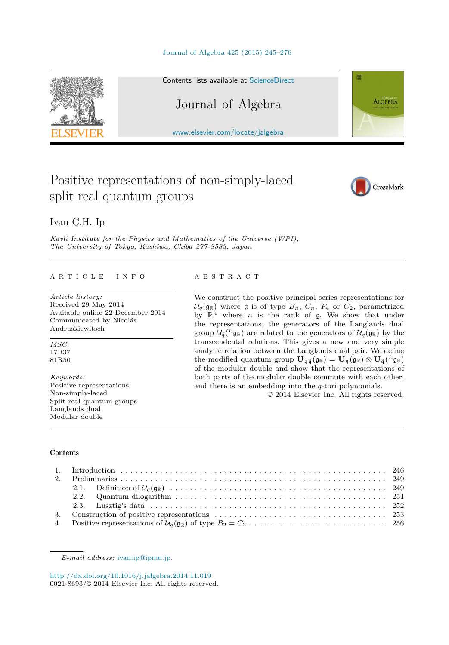#### [Journal of Algebra 425 \(2015\) 245–276](http://dx.doi.org/10.1016/j.jalgebra.2014.11.019)



#### Contents lists available at [ScienceDirect](http://www.ScienceDirect.com/)

# Journal of Algebra

[www.elsevier.com/locate/jalgebra](http://www.elsevier.com/locate/jalgebra)

# Positive representations of non-simply-laced split real quantum groups



**ALGEBRA** 

# Ivan C.H. Ip

*Kavli Institute for the Physics and Mathematics of the Universe (WPI), The University of Tokyo, Kashiwa, Chiba 277-8583, Japan*

#### A R T I C L E I N F O A B S T R A C T

*Article history:* Received 29 May 2014 Available online 22 December 2014 Communicated by Nicolás Andruskiewitsch

*MSC:* 17B37 81R50

*Keywords:* Positive representations Non-simply-laced Split real quantum groups Langlands dual Modular double

We construct the positive principal series representations for  $U_q(\mathfrak{g}_{\mathbb{R}})$  where  $\mathfrak{g}$  is of type  $B_n$ ,  $C_n$ ,  $F_4$  or  $G_2$ , parametrized by  $\mathbb{R}^n$  where *n* is the rank of **g**. We show that under the representations, the generators of the Langlands dual group  $\mathcal{U}_{\tilde{q}}(L_{\mathfrak{g}_\mathbb{R}})$  are related to the generators of  $\mathcal{U}_q(\mathfrak{g}_\mathbb{R})$  by the transcendental relations. This gives a new and very simple analytic relation between the Langlands dual pair. We define the modified quantum group  $\mathbf{U}_{q\tilde{q}}(g_{\mathbb{R}}) = \mathbf{U}_{q}(g_{\mathbb{R}}) \otimes \mathbf{U}_{\tilde{q}}(L_{g_{\mathbb{R}}})$ of the modular double and show that the representations of both parts of the modular double commute with each other, and there is an embedding into the *q*-tori polynomials.

© 2014 Elsevier Inc. All rights reserved.

#### **Contents**

<http://dx.doi.org/10.1016/j.jalgebra.2014.11.019> 0021-8693/© 2014 Elsevier Inc. All rights reserved.

*E-mail address:* [ivan.ip@ipmu.jp.](mailto:ivan.ip@ipmu.jp)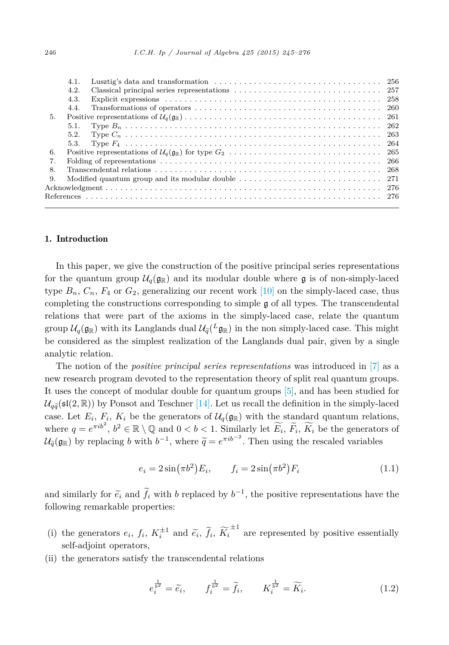<span id="page-1-0"></span>

|    | 4.1. |  |
|----|------|--|
|    | 4.2. |  |
|    | 4.3. |  |
|    | 4.4. |  |
| 5. |      |  |
|    | 5.1. |  |
|    | 5.2. |  |
|    | 5.3. |  |
| 6. |      |  |
| 7. |      |  |
| 8. |      |  |
| 9. |      |  |
|    |      |  |
|    |      |  |

# 1. Introduction

In this paper, we give the construction of the positive principal series representations for the quantum group  $\mathcal{U}_q(\mathfrak{g}_{\mathbb{R}})$  and its modular double where  $\mathfrak{g}$  is of non-simply-laced type  $B_n$ ,  $C_n$ ,  $F_4$  or  $G_2$ , generalizing our recent work [\[10\]](#page-31-0) on the simply-laced case, thus completing the constructions corresponding to simple  $\mathfrak g$  of all types. The transcendental relations that were part of the axioms in the simply-laced case, relate the quantum group  $\mathcal{U}_q(\mathfrak{g}_{\mathbb{R}})$  with its Langlands dual  $\mathcal{U}_q(L_{\mathfrak{g}_{\mathbb{R}}})$  in the non simply-laced case. This might be considered as the simplest realization of the Langlands dual pair, given by a single analytic relation.

The notion of the *positive principal series representations* was introduced in [\[7\]](#page-31-0) as a new research program devoted to the representation theory of split real quantum groups. It uses the concept of modular double for quantum groups [\[5\],](#page-31-0) and has been studied for  $\mathcal{U}_{q\tilde{q}}(\mathfrak{sl}(2,\mathbb{R}))$  by Ponsot and Teschner [\[14\].](#page-31-0) Let us recall the definition in the simply-laced case. Let  $E_i$ ,  $F_i$ ,  $K_i$  be the generators of  $\mathcal{U}_q(\mathfrak{g}_{\mathbb{R}})$  with the standard quantum relations, where  $q = e^{\pi i b^2}$ ,  $b^2 \in \mathbb{R} \setminus \mathbb{Q}$  and  $0 < b < 1$ . Similarly let  $\widetilde{E_i}$ ,  $\widetilde{F_i}$ ,  $\widetilde{K_i}$  be the generators of  $\mathcal{U}_{\tilde{q}}(\mathfrak{g}_{\mathbb{R}})$  by replacing *b* with  $b^{-1}$ , where  $\tilde{q} = e^{\pi i b^{-2}}$ . Then using the rescaled variables

$$
e_i = 2\sin(\pi b^2) E_i, \qquad f_i = 2\sin(\pi b^2) F_i \tag{1.1}
$$

and similarly for  $\tilde{e}_i$  and  $\tilde{f}_i$  with *b* replaced by  $b^{-1}$ , the positive representations have the following representations following remarkable properties:

- (i) the generators  $e_i$ ,  $f_i$ ,  $K_i^{\pm 1}$  and  $\tilde{e}_i$ ,  $\tilde{f}_i$ ,  $\tilde{K}_i$ <br>and collections  $\pm$ <sup>1</sup> are represented by positive essentially self-adjoint operators,
- (ii) the generators satisfy the transcendental relations

$$
e_i^{\frac{1}{b^2}} = \widetilde{e_i}, \qquad f_i^{\frac{1}{b^2}} = \widetilde{f_i}, \qquad K_i^{\frac{1}{b^2}} = \widetilde{K_i}.
$$
 (1.2)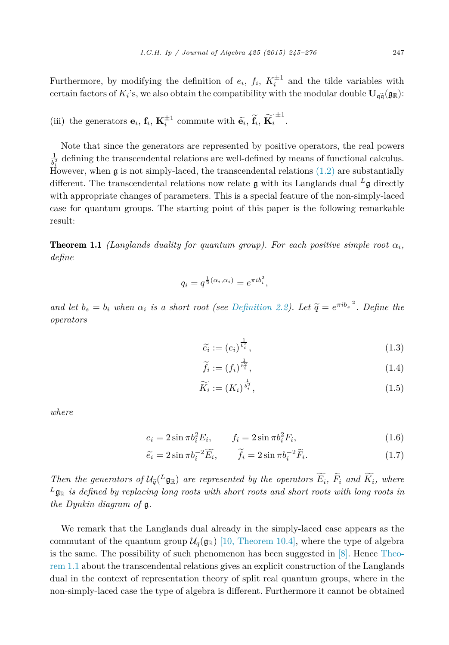<span id="page-2-0"></span>Furthermore, by modifying the definition of  $e_i$ ,  $f_i$ ,  $K_i^{\pm 1}$  and the tilde variables with certain factors of  $K_i$ 's, we also obtain the compatibility with the modular double  $\mathbf{U}_{\mathfrak{q}\widetilde{\mathfrak{q}}}(\mathfrak{g}_{\mathbb{R}})$ :

(iii) the generators 
$$
\mathbf{e}_i
$$
,  $\mathbf{f}_i$ ,  $\mathbf{K}_i^{\pm 1}$  commute with  $\widetilde{\mathbf{e}}_i$ ,  $\widetilde{\mathbf{f}}_i$ ,  $\widetilde{\mathbf{K}}_i^{\pm 1}$ .

Note that since the generators are represented by positive operators, the real powers  $\frac{1}{b_i^2}$  defining the transcendental relations are well-defined by means of functional calculus. However, when g is not simply-laced, the transcendental relations [\(1.2\)](#page-1-0) are substantially different. The transcendental relations now relate  $\alpha$  with its Langlands dual <sup>L</sup><sub> $\alpha$ </sub> directly with appropriate changes of parameters. This is a special feature of the non-simply-laced case for quantum groups. The starting point of this paper is the following remarkable result:

**Theorem 1.1** *(Langlands duality for quantum group). For each positive simple root*  $\alpha_i$ , *define*

$$
q_i = q^{\frac{1}{2}(\alpha_i, \alpha_i)} = e^{\pi i b_i^2},
$$

and let  $b_s = b_i$  when  $\alpha_i$  is a short root (see [Definition 2.2\)](#page-5-0). Let  $\tilde{q} = e^{\pi i b_s^{-2}}$ . Define the *operators*

$$
\widetilde{e_i} := (e_i)^{\frac{1}{b_i^2}},\tag{1.3}
$$

$$
\widetilde{f}_i := (f_i)^{\frac{1}{b_i^2}},\tag{1.4}
$$

$$
\widetilde{K_i} := (K_i)^{\frac{1}{b_i^2}},\tag{1.5}
$$

*where*

$$
e_i = 2\sin \pi b_i^2 E_i, \qquad f_i = 2\sin \pi b_i^2 F_i,
$$
\n(1.6)

$$
\widetilde{e_i} = 2\sin\pi b_i^{-2}\widetilde{E_i}, \qquad \widetilde{f_i} = 2\sin\pi b_i^{-2}\widetilde{F_i}.
$$
\n(1.7)

Then the generators of  $\mathcal{U}_{\tilde{q}}({}^L\mathfrak{g}_{\mathbb{R}})$  are represented by the operators  $E_i$ ,  $\overline{F}_i$  and  $\overline{K}_i$ , where  $L_{\mathbf{g}_{\mathbb{R}}}$  *is defined by replacing long roots with short roots and short roots with long roots in the Dynkin diagram of* g*.*

We remark that the Langlands dual already in the simply-laced case appears as the commutant of the quantum group  $\mathcal{U}_q(\mathfrak{g}_{\mathbb{R}})$  [10, [Theorem 10.4\],](#page-31-0) where the type of algebra is the same. The possibility of such phenomenon has been suggested in  $[8]$ . Hence Theorem 1.1 about the transcendental relations gives an explicit construction of the Langlands dual in the context of representation theory of split real quantum groups, where in the non-simply-laced case the type of algebra is different. Furthermore it cannot be obtained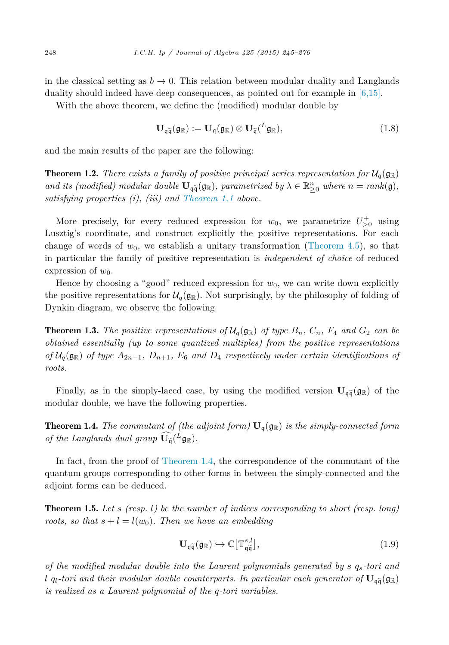<span id="page-3-0"></span>in the classical setting as  $b \to 0$ . This relation between modular duality and Langlands duality should indeed have deep consequences, as pointed out for example in [\[6,15\].](#page-31-0)

With the above theorem, we define the (modified) modular double by

$$
\mathbf{U}_{\mathfrak{q}\widetilde{\mathfrak{q}}}(\mathfrak{g}_{\mathbb{R}}) := \mathbf{U}_{\mathfrak{q}}(\mathfrak{g}_{\mathbb{R}}) \otimes \mathbf{U}_{\widetilde{\mathfrak{q}}}({}^{L}\mathfrak{g}_{\mathbb{R}}), \qquad (1.8)
$$

and the main results of the paper are the following:

**Theorem 1.2.** There exists a family of positive principal series representation for  $\mathcal{U}_q(\mathfrak{g}_\mathbb{R})$ *and its* (*modified*) *modular double*  $\mathbf{U}_{q\tilde{q}}(\mathfrak{g}_{\mathbb{R}})$ *, parametrized by*  $\lambda \in \mathbb{R}^n_{\geq 0}$  *where*  $n = rank(\mathfrak{g})$ *, satisfying properties (i), (iii) and [Theorem 1.1](#page-2-0) above.*

More precisely, for every reduced expression for  $w_0$ , we parametrize  $U_{>0}^+$  using Lusztig's coordinate, and construct explicitly the positive representations. For each change of words of  $w_0$ , we establish a unitary transformation [\(Theorem 4.5\)](#page-16-0), so that in particular the family of positive representation is *independent of choice* of reduced expression of  $w_0$ .

Hence by choosing a "good" reduced expression for  $w_0$ , we can write down explicitly the positive representations for  $\mathcal{U}_q(\mathfrak{g}_\mathbb{R})$ . Not surprisingly, by the philosophy of folding of Dynkin diagram, we observe the following

**Theorem 1.3.** The positive representations of  $\mathcal{U}_q(\mathfrak{g}_{\mathbb{R}})$  of type  $B_n$ ,  $C_n$ ,  $F_4$  and  $G_2$  can be *obtained essentially (up to some quantized multiples) from the positive representations*  $of$   $U_q(\mathfrak{g}_\mathbb{R})$  *of type*  $A_{2n-1}$ *,*  $D_{n+1}$ *,*  $E_6$  *and*  $D_4$  *respectively under certain identifications of roots.*

Finally, as in the simply-laced case, by using the modified version  $\mathbf{U}_{\mathfrak{q}\tilde{\mathfrak{q}}}(\mathfrak{g}_{\mathbb{R}})$  of the modular double, we have the following properties.

**Theorem 1.4.** *The commutant of (the adjoint form)*  $U_q(q_R)$  *is the simply-connected form of the Langlands dual group*  $\widehat{\mathbf{U}}_{\widetilde{\mathfrak{q}}}(L_{\mathfrak{g}_{\mathbb{R}}})$ .

In fact, from the proof of Theorem 1.4, the correspondence of the commutant of the quantum groups corresponding to other forms in between the simply-connected and the adjoint forms can be deduced.

Theorem 1.5. *Let s (resp. l) be the number of indices corresponding to short (resp. long) roots, so that*  $s + l = l(w_0)$ *. Then we have an embedding* 

$$
\mathbf{U}_{\mathfrak{q}\tilde{\mathfrak{q}}}(\mathfrak{g}_{\mathbb{R}}) \hookrightarrow \mathbb{C}\big[\mathbb{T}_{\mathfrak{q}\tilde{\mathfrak{q}}}^{s,l}\big],\tag{1.9}
$$

*of the modified modular double into the Laurent polynomials generated by s qs-tori and l*  $q_l$ -tori and their modular double counterparts. In particular each generator of  $\mathbf{U}_{q\widetilde{q}}(\mathfrak{g}_{\mathbb{R}})$ *is realized as a Laurent polynomial of the q-tori variables.*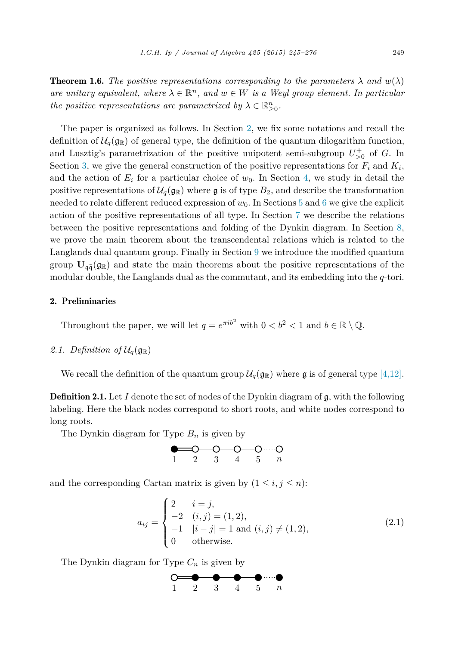<span id="page-4-0"></span>**Theorem 1.6.** *The positive representations corresponding to the parameters*  $\lambda$  *and*  $w(\lambda)$ *are unitary equivalent, where*  $\lambda \in \mathbb{R}^n$ , *and*  $w \in W$  *is a Weyl group element. In particular the positive representations are parametrized by*  $\lambda \in \mathbb{R}^n_{\geq 0}$ *.* 

The paper is organized as follows. In Section 2, we fix some notations and recall the definition of  $\mathcal{U}_q(\mathfrak{g}_{\mathbb{R}})$  of general type, the definition of the quantum dilogarithm function, and Lusztig's parametrization of the positive unipotent semi-subgroup  $U_{>0}^+$  of *G*. In Section [3,](#page-8-0) we give the general construction of the positive representations for  $F_i$  and  $K_i$ , and the action of  $E_i$  for a particular choice of  $w_0$ . In Section [4,](#page-11-0) we study in detail the positive representations of  $\mathcal{U}_q(\mathfrak{g}_{\mathbb{R}})$  where g is of type  $B_2$ , and describe the transformation needed to relate different reduced expression of  $w_0$ . In Sections [5](#page-16-0) and [6](#page-20-0) we give the explicit action of the positive representations of all type. In Section [7](#page-21-0) we describe the relations between the positive representations and folding of the Dynkin diagram. In Section [8,](#page-23-0) we prove the main theorem about the transcendental relations which is related to the Langlands dual quantum group. Finally in Section [9](#page-26-0) we introduce the modified quantum group  $\mathbf{U}_{\mathfrak{q}\tilde{\mathfrak{q}}}(\mathfrak{g}_{\mathbb{R}})$  and state the main theorems about the positive representations of the modular double, the Langlands dual as the commutant, and its embedding into the *q*-tori.

#### 2. Preliminaries

Throughout the paper, we will let  $q = e^{\pi i b^2}$  with  $0 < b^2 < 1$  and  $b \in \mathbb{R} \setminus \mathbb{Q}$ .

# 2.1. Definition of  $\mathcal{U}_q(\mathfrak{g}_{\mathbb{R}})$

We recall the definition of the quantum group  $\mathcal{U}_q(\mathfrak{g}_{\mathbb{R}})$  where  $\mathfrak{g}$  is of general type [\[4,12\].](#page-31-0)

**Definition 2.1.** Let *I* denote the set of nodes of the Dynkin diagram of g, with the following labeling. Here the black nodes correspond to short roots, and white nodes correspond to long roots.

The Dynkin diagram for Type *B<sup>n</sup>* is given by

$$
\begin{array}{cccc}\n & \bullet & \bullet & \bullet & \bullet & \bullet & \bullet & \bullet \\
\hline\n1 & 2 & 3 & 4 & 5 & n\n\end{array}
$$

and the corresponding Cartan matrix is given by  $(1 \leq i, j \leq n)$ :

$$
a_{ij} = \begin{cases} 2 & i = j, \\ -2 & (i,j) = (1,2), \\ -1 & |i - j| = 1 \text{ and } (i,j) \neq (1,2), \\ 0 & \text{otherwise.} \end{cases}
$$
(2.1)

The Dynkin diagram for Type *C<sup>n</sup>* is given by

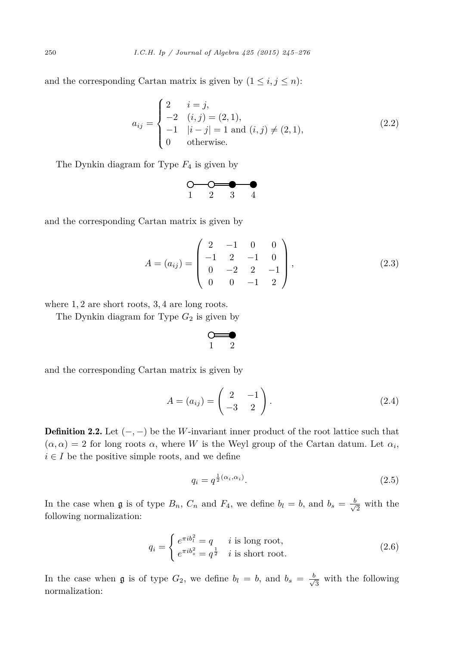<span id="page-5-0"></span>and the corresponding Cartan matrix is given by  $(1 \leq i, j \leq n)$ :

$$
a_{ij} = \begin{cases} 2 & i = j, \\ -2 & (i,j) = (2,1), \\ -1 & |i - j| = 1 \text{ and } (i,j) \neq (2,1), \\ 0 & \text{otherwise.} \end{cases}
$$
(2.2)

The Dynkin diagram for Type *F*<sup>4</sup> is given by



and the corresponding Cartan matrix is given by

$$
A = (a_{ij}) = \begin{pmatrix} 2 & -1 & 0 & 0 \\ -1 & 2 & -1 & 0 \\ 0 & -2 & 2 & -1 \\ 0 & 0 & -1 & 2 \end{pmatrix},
$$
 (2.3)

where 1*,* 2 are short roots, 3*,* 4 are long roots.

The Dynkin diagram for Type *G*<sup>2</sup> is given by

$$
\circ \hspace{-4pt} = \hspace{-4pt} \bullet
$$

and the corresponding Cartan matrix is given by

$$
A = (a_{ij}) = \begin{pmatrix} 2 & -1 \\ -3 & 2 \end{pmatrix}.
$$
 (2.4)

Definition 2.2. Let  $(-,-)$  be the *W*-invariant inner product of the root lattice such that  $(\alpha, \alpha) = 2$  for long roots  $\alpha$ , where *W* is the Weyl group of the Cartan datum. Let  $\alpha_i$ ,  $i \in I$  be the positive simple roots, and we define

$$
q_i = q^{\frac{1}{2}(\alpha_i, \alpha_i)}.
$$
\n
$$
(2.5)
$$

In the case when  $\mathfrak g$  is of type  $B_n$ ,  $C_n$  and  $F_4$ , we define  $b_l = b$ , and  $b_s = \frac{b}{\sqrt{2}}$  with the following normalization:

$$
q_i = \begin{cases} e^{\pi i b_i^2} = q & i \text{ is long root,} \\ e^{\pi i b_s^2} = q^{\frac{1}{2}} & i \text{ is short root.} \end{cases}
$$
 (2.6)

In the case when  $\mathfrak g$  is of type  $G_2$ , we define  $b_l = b$ , and  $b_s = \frac{b}{\sqrt{3}}$  with the following normalization: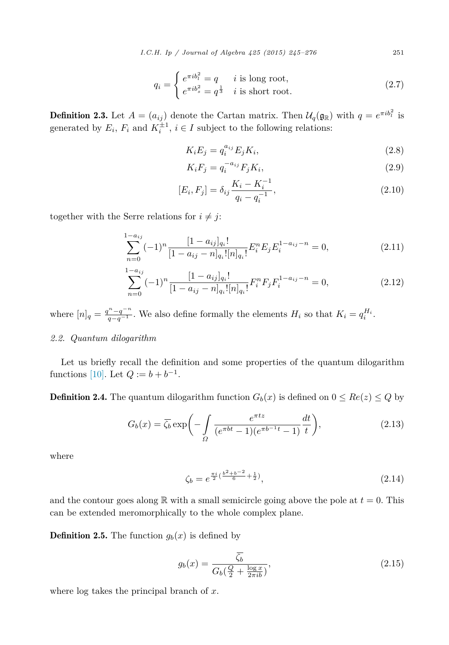*I.C.H. Ip / Journal of Algebra 425 (2015) 245–276* 251

$$
q_i = \begin{cases} e^{\pi i b_i^2} = q & i \text{ is long root,} \\ e^{\pi i b_s^2} = q^{\frac{1}{3}} & i \text{ is short root.} \end{cases}
$$
 (2.7)

<span id="page-6-0"></span>**Definition 2.3.** Let  $A = (a_{ij})$  denote the Cartan matrix. Then  $\mathcal{U}_q(\mathfrak{g}_{\mathbb{R}})$  with  $q = e^{\pi i b_i^2}$  is generated by  $E_i$ ,  $F_i$  and  $K_i^{\pm 1}$ ,  $i \in I$  subject to the following relations:

$$
K_i E_j = q_i^{a_{ij}} E_j K_i,
$$
\n
$$
(2.8)
$$

$$
K_i F_j = q_i^{-a_{ij}} F_j K_i,
$$
\n
$$
(2.9)
$$

$$
[E_i, F_j] = \delta_{ij} \frac{K_i - K_i^{-1}}{q_i - q_i^{-1}},
$$
\n(2.10)

together with the Serre relations for  $i \neq j$ :

$$
\sum_{n=0}^{1-a_{ij}} (-1)^n \frac{[1-a_{ij}]_{q_i}!}{[1-a_{ij}-n]_{q_i}! [n]_{q_i}!} E_i^n E_j E_i^{1-a_{ij}-n} = 0,
$$
\n(2.11)

$$
\sum_{n=0}^{1-a_{ij}} (-1)^n \frac{[1-a_{ij}]_{q_i}!}{[1-a_{ij}-n]_{q_i}! [n]_{q_i}!} F_i^n F_j F_i^{1-a_{ij}-n} = 0,
$$
\n(2.12)

where  $[n]_q = \frac{q^n - q^{-n}}{q - q^{-1}}$ . We also define formally the elements  $H_i$  so that  $K_i = q_i^{H_i}$ .

# *2.2. Quantum dilogarithm*

Let us briefly recall the definition and some properties of the quantum dilogarithm functions [\[10\].](#page-31-0) Let  $Q := b + b^{-1}$ .

**Definition 2.4.** The quantum dilogarithm function  $G_b(x)$  is defined on  $0 \leq Re(z) \leq Q$  by

$$
G_b(x) = \overline{\zeta_b} \exp\bigg(-\int\limits_{\Omega} \frac{e^{\pi t z}}{(e^{\pi bt} - 1)(e^{\pi b^{-1}t} - 1)} \frac{dt}{t}\bigg),\tag{2.13}
$$

where

$$
\zeta_b = e^{\frac{\pi i}{2}(\frac{b^2 + b^{-2}}{6} + \frac{1}{2})},\tag{2.14}
$$

and the contour goes along  $\mathbb R$  with a small semicircle going above the pole at  $t = 0$ . This can be extended meromorphically to the whole complex plane.

**Definition 2.5.** The function  $g_b(x)$  is defined by

$$
g_b(x) = \frac{\overline{\zeta_b}}{G_b(\frac{Q}{2} + \frac{\log x}{2\pi i b})},\tag{2.15}
$$

where log takes the principal branch of *x*.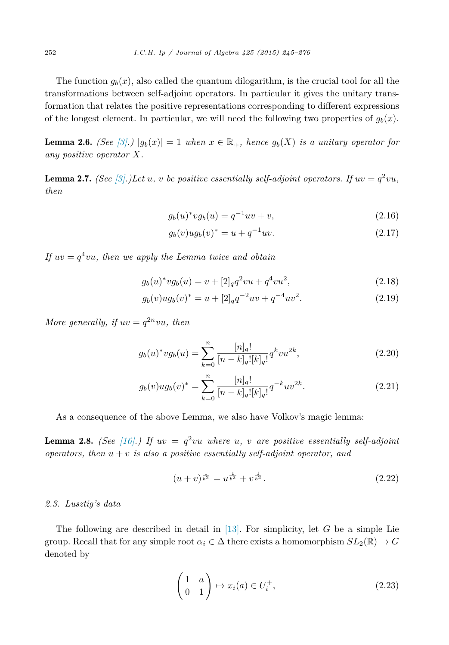<span id="page-7-0"></span>The function  $g_b(x)$ , also called the quantum dilogarithm, is the crucial tool for all the transformations between self-adjoint operators. In particular it gives the unitary transformation that relates the positive representations corresponding to different expressions of the longest element. In particular, we will need the following two properties of  $g_b(x)$ .

**Lemma 2.6.** *(See* [\[3\].](#page-31-0))  $|g_b(x)| = 1$  *when*  $x \in \mathbb{R}_+$ *, hence*  $g_b(X)$  *is a unitary operator for any positive operator X.*

**Lemma 2.7.** *(See* [\[3\].](#page-31-0))Let *u*, *v be positive essentially self-adjoint operators. If*  $uv = q^2vu$ , *then*

$$
g_b(u)^* v g_b(u) = q^{-1} u v + v,
$$
\n(2.16)

$$
g_b(v)ug_b(v)^* = u + q^{-1}uv.
$$
\n(2.17)

*If*  $uv = q^4vu$ , then we apply the Lemma twice and obtain

$$
g_b(u)^* v g_b(u) = v + [2]_q q^2 v u + q^4 v u^2,
$$
\n(2.18)

$$
g_b(v)ug_b(v)^* = u + [2]_q q^{-2}uv + q^{-4}uv^2.
$$
\n(2.19)

*More generally, if*  $uv = q^{2n}vu$ *, then* 

$$
g_b(u)^* v g_b(u) = \sum_{k=0}^n \frac{[n]_q!}{[n-k]_q! [k]_q!} q^k v u^{2k},\tag{2.20}
$$

$$
g_b(v)ug_b(v)^* = \sum_{k=0}^n \frac{[n]_q!}{[n-k]_q![k]_q!} q^{-k}uv^{2k}.
$$
\n(2.21)

As a consequence of the above Lemma, we also have Volkov's magic lemma:

**Lemma 2.8.** *(See* [\[16\].](#page-31-0)) If  $uv = q^2vu$  where *u*, *v* are positive essentially self-adjoint *operators, then*  $u + v$  *is also a positive essentially self-adjoint operator, and* 

$$
(u+v)^{\frac{1}{b^2}} = u^{\frac{1}{b^2}} + v^{\frac{1}{b^2}}.
$$
\n(2.22)

#### *2.3. Lusztig's data*

The following are described in detail in [\[13\].](#page-31-0) For simplicity, let *G* be a simple Lie group. Recall that for any simple root  $\alpha_i \in \Delta$  there exists a homomorphism  $SL_2(\mathbb{R}) \to G$ denoted by

$$
\begin{pmatrix} 1 & a \\ 0 & 1 \end{pmatrix} \mapsto x_i(a) \in U_i^+, \tag{2.23}
$$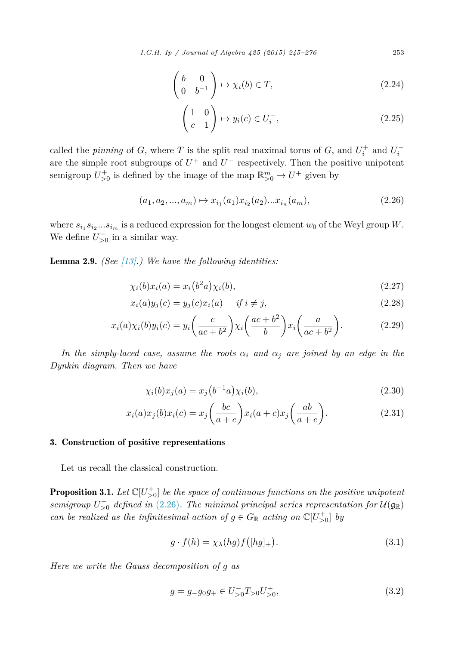$$
\begin{pmatrix} b & 0 \\ 0 & b^{-1} \end{pmatrix} \mapsto \chi_i(b) \in T,
$$
\n(2.24)

$$
\begin{pmatrix} 1 & 0 \ c & 1 \end{pmatrix} \mapsto y_i(c) \in U_i^-, \tag{2.25}
$$

<span id="page-8-0"></span>called the *pinning* of *G*, where *T* is the split real maximal torus of *G*, and  $U_i^+$  and  $U_i^$ are the simple root subgroups of  $U^+$  and  $U^-$  respectively. Then the positive unipotent semigroup  $U_{>0}^+$  is defined by the image of the map  $\mathbb{R}_{>0}^m \to U^+$  given by

$$
(a_1, a_2, ..., a_m) \mapsto x_{i_1}(a_1)x_{i_2}(a_2)...x_{i_n}(a_m), \tag{2.26}
$$

where  $s_{i_1} s_{i_2} \ldots s_{i_m}$  is a reduced expression for the longest element  $w_0$  of the Weyl group *W*. We define  $U_{>0}^-$  in a similar way.

Lemma 2.9. *(See [\[13\].](#page-31-0)) We have the following identities:*

$$
\chi_i(b)x_i(a) = x_i(b^2a)\chi_i(b),\tag{2.27}
$$

$$
x_i(a)y_j(c) = y_j(c)x_i(a) \quad \text{if } i \neq j,
$$
\n
$$
(2.28)
$$

$$
x_i(a)\chi_i(b)y_i(c) = y_i\left(\frac{c}{ac+b^2}\right)\chi_i\left(\frac{ac+b^2}{b}\right)x_i\left(\frac{a}{ac+b^2}\right). \tag{2.29}
$$

*In the simply-laced case, assume the roots*  $\alpha_i$  *and*  $\alpha_j$  *are joined by an edge in the Dynkin diagram. Then we have*

$$
\chi_i(b)x_j(a) = x_j(b^{-1}a)\chi_i(b),
$$
\n(2.30)

$$
x_i(a)x_j(b)x_i(c) = x_j\left(\frac{bc}{a+c}\right)x_i(a+c)x_j\left(\frac{ab}{a+c}\right).
$$
\n(2.31)

# 3. Construction of positive representations

Let us recall the classical construction.

**Proposition 3.1.** Let  $\mathbb{C}[U_{>0}^+]$  be the space of continuous functions on the positive unipotent  $s$ *emigroup*  $U_{>0}^+$  *defined in* (2.26)*. The minimal principal series representation for*  $\mathcal{U}(\mathfrak{g}_{\mathbb{R}})$ *can be realized as the infinitesimal action of*  $g \in G_{\mathbb{R}}$  *acting on*  $\mathbb{C}[U_{>0}^{+}]$  *by* 

$$
g \cdot f(h) = \chi_{\lambda}(hg) f([hg]_+). \tag{3.1}
$$

*Here we write the Gauss decomposition of g as*

$$
g = g_{-}g_{0}g_{+} \in U_{>0}^{-}T_{>0}U_{>0}^{+}, \tag{3.2}
$$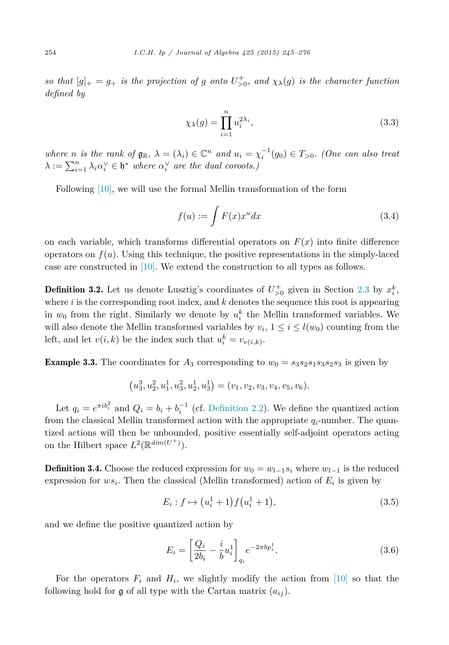<span id="page-9-0"></span>so that  $[g]_+ = g_+$  is the projection of g onto  $U_{>0}^+$ , and  $\chi_{\lambda}(g)$  is the character function *defined by*

$$
\chi_{\lambda}(g) = \prod_{i=1}^{n} u_i^{2\lambda_i},\tag{3.3}
$$

where n is the rank of  $\mathfrak{g}_{\mathbb{R}}$ ,  $\lambda = (\lambda_i) \in \mathbb{C}^n$  and  $u_i = \chi_i^{-1}(g_0) \in T_{>0}$ . (One can also treat  $\lambda := \sum_{i=1}^{n} \lambda_i \alpha_i^{\vee} \in \mathfrak{h}^*$  *where*  $\alpha_i^{\vee}$  *are the dual coroots.)* 

Following [\[10\],](#page-31-0) we will use the formal Mellin transformation of the form

$$
f(u) := \int F(x)x^u dx \tag{3.4}
$$

on each variable, which transforms differential operators on  $F(x)$  into finite difference operators on  $f(u)$ . Using this technique, the positive representations in the simply-laced case are constructed in [\[10\].](#page-31-0) We extend the construction to all types as follows.

**Definition 3.2.** Let us denote Lusztig's coordinates of  $U_{>0}^+$  given in Section [2.3](#page-7-0) by  $x_i^k$ , where *i* is the corresponding root index, and *k* denotes the sequence this root is appearing in  $w_0$  from the right. Similarly we denote by  $u_i^k$  the Mellin transformed variables. We will also denote the Mellin transformed variables by  $v_i$ ,  $1 \le i \le l(w_0)$  counting from the left, and let  $v(i,k)$  be the index such that  $u_i^k = v_{v(i,k)}$ .

**Example 3.3.** The coordinates for  $A_3$  corresponding to  $w_0 = s_3 s_2 s_1 s_3 s_2 s_3$  is given by

$$
(u_3^3, u_2^2, u_1^1, u_3^2, u_2^1, u_3^1) = (v_1, v_2, v_3, v_4, v_5, v_6).
$$

Let  $q_i = e^{\pi i b_i^2}$  and  $Q_i = b_i + b_i^{-1}$  (cf. [Definition 2.2\)](#page-5-0). We define the quantized action from the classical Mellin transformed action with the appropriate *qi*-number. The quantized actions will then be unbounded, positive essentially self-adjoint operators acting on the Hilbert space  $L^2(\mathbb{R}^{dim(U^+)})$ .

**Definition 3.4.** Choose the reduced expression for  $w_0 = w_{l-1} s_i$  where  $w_{l-1}$  is the reduced expression for  $ws_i$ . Then the classical (Mellin transformed) action of  $E_i$  is given by

$$
E_i: f \mapsto (u_i^1 + 1) f(u_i^1 + 1), \tag{3.5}
$$

and we define the positive quantized action by

$$
E_i = \left[\frac{Q_i}{2b_i} - \frac{i}{b}u_i^1\right]_{q_i} e^{-2\pi b p_i^1}.
$$
\n(3.6)

For the operators  $F_i$  and  $H_i$ , we slightly modify the action from [\[10\]](#page-31-0) so that the following hold for  $\mathfrak g$  of all type with the Cartan matrix  $(a_{ij})$ .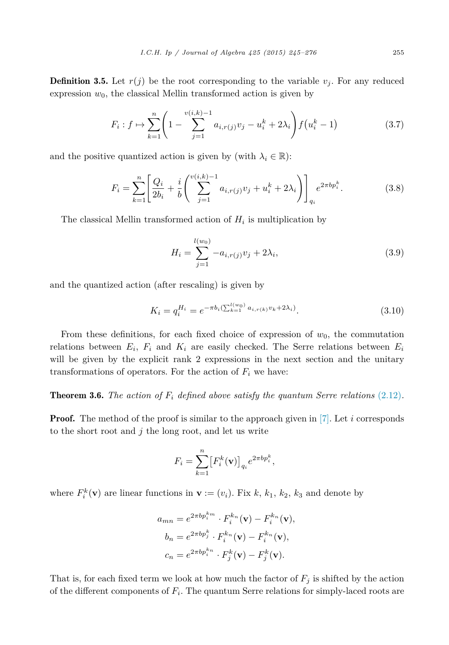<span id="page-10-0"></span>**Definition 3.5.** Let  $r(j)$  be the root corresponding to the variable  $v_j$ . For any reduced expression  $w_0$ , the classical Mellin transformed action is given by

$$
F_i: f \mapsto \sum_{k=1}^n \left(1 - \sum_{j=1}^{v(i,k)-1} a_{i,r(j)} v_j - u_i^k + 2\lambda_i\right) f\left(u_i^k - 1\right) \tag{3.7}
$$

and the positive quantized action is given by (with  $\lambda_i \in \mathbb{R}$ ):

$$
F_i = \sum_{k=1}^n \left[ \frac{Q_i}{2b_i} + \frac{i}{b} \left( \sum_{j=1}^{v(i,k)-1} a_{i,r(j)} v_j + u_i^k + 2\lambda_i \right) \right]_{q_i} e^{2\pi b p_i^k}.
$$
 (3.8)

The classical Mellin transformed action of  $H_i$  is multiplication by

$$
H_i = \sum_{j=1}^{l(w_0)} -a_{i,r(j)}v_j + 2\lambda_i,
$$
\n(3.9)

and the quantized action (after rescaling) is given by

$$
K_i = q_i^{H_i} = e^{-\pi b_i \left(\sum_{k=1}^{l(w_0)} a_{i,r(k)} v_k + 2\lambda_i\right)}.
$$
\n(3.10)

From these definitions, for each fixed choice of expression of  $w_0$ , the commutation relations between  $E_i$ ,  $F_i$  and  $K_i$  are easily checked. The Serre relations between  $E_i$ will be given by the explicit rank 2 expressions in the next section and the unitary transformations of operators. For the action of  $F_i$  we have:

**Theorem 3.6.** The action of  $F_i$  defined above satisfy the quantum Serre relations [\(2.12\)](#page-6-0).

**Proof.** The method of the proof is similar to the approach given in [\[7\].](#page-31-0) Let *i* corresponds to the short root and *j* the long root, and let us write

$$
F_i = \sum_{k=1}^n \left[ F_i^k(\mathbf{v}) \right]_{q_i} e^{2\pi b p_i^k},
$$

where  $F_i^k(\mathbf{v})$  are linear functions in  $\mathbf{v} := (v_i)$ . Fix  $k, k_1, k_2, k_3$  and denote by

$$
a_{mn} = e^{2\pi b p_i^{k_m}} \cdot F_i^{k_n}(\mathbf{v}) - F_i^{k_n}(\mathbf{v}),
$$
  
\n
$$
b_n = e^{2\pi b p_j^{k}} \cdot F_i^{k_n}(\mathbf{v}) - F_i^{k_n}(\mathbf{v}),
$$
  
\n
$$
c_n = e^{2\pi b p_i^{k_n}} \cdot F_j^{k}(\mathbf{v}) - F_j^{k}(\mathbf{v}).
$$

That is, for each fixed term we look at how much the factor of  $F_j$  is shifted by the action of the different components of  $F_i$ . The quantum Serre relations for simply-laced roots are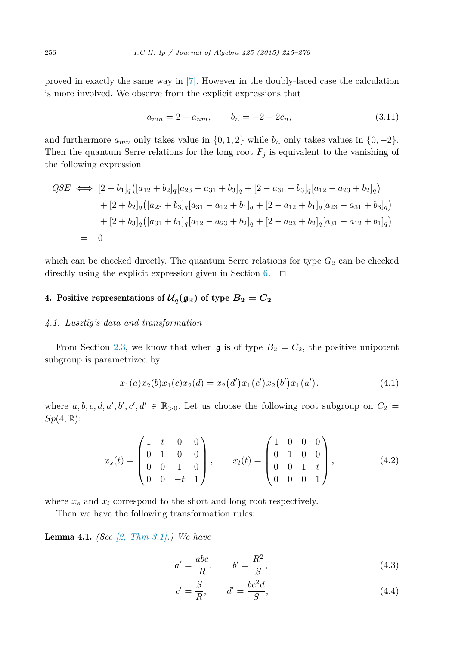<span id="page-11-0"></span>proved in exactly the same way in [\[7\].](#page-31-0) However in the doubly-laced case the calculation is more involved. We observe from the explicit expressions that

$$
a_{mn} = 2 - a_{nm}, \qquad b_n = -2 - 2c_n,
$$
\n(3.11)

and furthermore  $a_{mn}$  only takes value in  $\{0, 1, 2\}$  while  $b_n$  only takes values in  $\{0, -2\}$ . Then the quantum Serre relations for the long root  $F_j$  is equivalent to the vanishing of the following expression

$$
QSE \iff [2 + b_1]_q ([a_{12} + b_2]_q [a_{23} - a_{31} + b_3]_q + [2 - a_{31} + b_3]_q [a_{12} - a_{23} + b_2]_q)
$$
  
+ 
$$
[2 + b_2]_q ([a_{23} + b_3]_q [a_{31} - a_{12} + b_1]_q + [2 - a_{12} + b_1]_q [a_{23} - a_{31} + b_3]_q)
$$
  
+ 
$$
[2 + b_3]_q ([a_{31} + b_1]_q [a_{12} - a_{23} + b_2]_q + [2 - a_{23} + b_2]_q [a_{31} - a_{12} + b_1]_q)
$$
  
= 0

which can be checked directly. The quantum Serre relations for type  $G_2$  can be checked directly using the explicit expression given in Section [6.](#page-20-0)  $\Box$ 

# 4. Positive representations of  $\mathcal{U}_q(\mathfrak{g}_{\mathbb{R}})$  of type  $B_2 = C_2$

#### *4.1. Lusztig's data and transformation*

From Section [2.3,](#page-7-0) we know that when  $\mathfrak g$  is of type  $B_2 = C_2$ , the positive unipotent subgroup is parametrized by

$$
x_1(a)x_2(b)x_1(c)x_2(d) = x_2(d')x_1(c')x_2(b')x_1(a'), \qquad (4.1)
$$

where  $a, b, c, d, a', b', c', d' \in \mathbb{R}_{>0}$ . Let us choose the following root subgroup on  $C_2$  $Sp(4,\mathbb{R})$ :

$$
x_s(t) = \begin{pmatrix} 1 & t & 0 & 0 \\ 0 & 1 & 0 & 0 \\ 0 & 0 & 1 & 0 \\ 0 & 0 & -t & 1 \end{pmatrix}, \qquad x_l(t) = \begin{pmatrix} 1 & 0 & 0 & 0 \\ 0 & 1 & 0 & 0 \\ 0 & 0 & 1 & t \\ 0 & 0 & 0 & 1 \end{pmatrix}, \tag{4.2}
$$

where  $x_s$  and  $x_l$  correspond to the short and long root respectively.

Then we have the following transformation rules:

Lemma 4.1. *(See [2, [Thm](#page-31-0) 3.1].) We have*

$$
a' = \frac{abc}{R}, \qquad b' = \frac{R^2}{S}, \tag{4.3}
$$

$$
c' = \frac{S}{R}, \qquad d' = \frac{bc^2d}{S}, \tag{4.4}
$$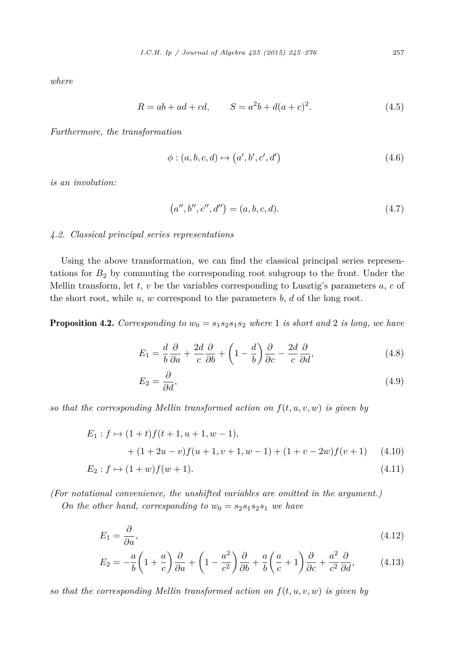<span id="page-12-0"></span>*where*

$$
R = ab + ad + cd, \qquad S = a^2b + d(a + c)^2. \tag{4.5}
$$

*Furthermore, the transformation*

$$
\phi: (a, b, c, d) \mapsto (a', b', c', d')
$$
\n
$$
(4.6)
$$

*is an involution:*

$$
(a'', b'', c'', d'') = (a, b, c, d). \tag{4.7}
$$

#### *4.2. Classical principal series representations*

Using the above transformation, we can find the classical principal series representations for  $B_2$  by commuting the corresponding root subgroup to the front. Under the Mellin transform, let *t*, *v* be the variables corresponding to Lusztig's parameters *a*, *c* of the short root, while *u*, *w* correspond to the parameters *b*, *d* of the long root.

**Proposition 4.2.** Corresponding to  $w_0 = s_1 s_2 s_1 s_2$  where 1 is short and 2 is long, we have

$$
E_1 = \frac{d}{b} \frac{\partial}{\partial a} + \frac{2d}{c} \frac{\partial}{\partial b} + \left(1 - \frac{d}{b}\right) \frac{\partial}{\partial c} - \frac{2d}{c} \frac{\partial}{\partial d},\tag{4.8}
$$

$$
E_2 = \frac{\partial}{\partial d},\tag{4.9}
$$

so that the corresponding Mellin transformed action on  $f(t, u, v, w)$  is given by

$$
E_1: f \mapsto (1+t)f(t+1, u+1, w-1),
$$
  
+ (1+2u-v)f(u+1, v+1, w-1) + (1+v-2w)f(v+1) (4.10)  

$$
E_2: f \mapsto (1+w)f(w+1).
$$
 (4.11)

*(For notational convenience, the unshifted variables are omitted in the argument.) On the other hand, corresponding to*  $w_0 = s_2 s_1 s_2 s_1$  *we have* 

$$
E_1 = \frac{\partial}{\partial a},\tag{4.12}
$$

$$
E_2 = -\frac{a}{b} \left( 1 + \frac{a}{c} \right) \frac{\partial}{\partial a} + \left( 1 - \frac{a^2}{c^2} \right) \frac{\partial}{\partial b} + \frac{a}{b} \left( \frac{a}{c} + 1 \right) \frac{\partial}{\partial c} + \frac{a^2}{c^2} \frac{\partial}{\partial d},\tag{4.13}
$$

so that the corresponding Mellin transformed action on  $f(t, u, v, w)$  is given by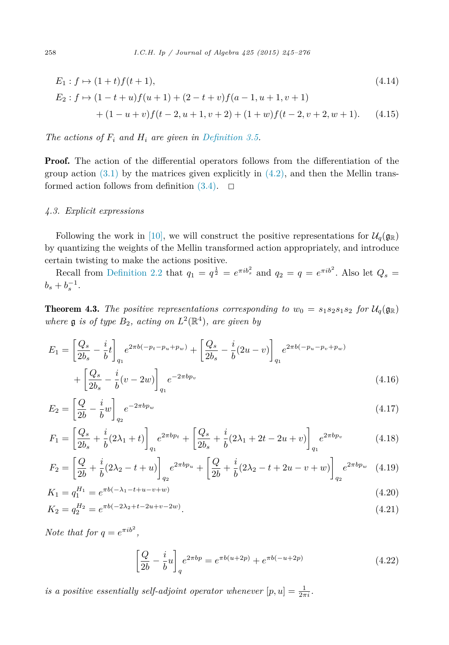<span id="page-13-0"></span>
$$
E_1: f \mapsto (1+t)f(t+1),
$$
\n
$$
E_2: f \mapsto (1-t+u)f(u+1) + (2-t+v)f(a-1, u+1, v+1)
$$
\n
$$
+ (1-u+v)f(t-2, u+1, v+2) + (1+w)f(t-2, v+2, w+1).
$$
\n(4.15)

*The actions of*  $F_i$  *and*  $H_i$  *are given in [Definition 3.5.](#page-10-0)* 

**Proof.** The action of the differential operators follows from the differentiation of the group action  $(3.1)$  by the matrices given explicitly in  $(4.2)$ , and then the Mellin transformed action follows from definition  $(3.4)$ .  $\Box$ 

#### *4.3. Explicit expressions*

Following the work in [\[10\],](#page-31-0) we will construct the positive representations for  $\mathcal{U}_q(\mathfrak{g}_{\mathbb{R}})$ by quantizing the weights of the Mellin transformed action appropriately, and introduce certain twisting to make the actions positive.

Recall from [Definition 2.2](#page-5-0) that  $q_1 = q^{\frac{1}{2}} = e^{\pi i b_s^2}$  and  $q_2 = q = e^{\pi i b^2}$ . Also let  $Q_s =$  $b_s + b_s^{-1}$ .

**Theorem 4.3.** The positive representations corresponding to  $w_0 = s_1 s_2 s_1 s_2$  for  $\mathcal{U}_q(\mathfrak{g}_\mathbb{R})$ *where* **g** *is of type*  $B_2$ *, acting on*  $L^2(\mathbb{R}^4)$ *, are given by* 

$$
E_1 = \left[\frac{Q_s}{2b_s} - \frac{i}{b}t\right]_{q_1} e^{2\pi b(-p_t - p_u + p_w)} + \left[\frac{Q_s}{2b_s} - \frac{i}{b}(2u - v)\right]_{q_1} e^{2\pi b(-p_u - p_v + p_w)} + \left[\frac{Q_s}{2b_s} - \frac{i}{b}(v - 2w)\right]_{q_1} e^{-2\pi bp_v}
$$
\n(4.16)

$$
E_2 = \left[\frac{Q}{2b} - \frac{i}{b}w\right]_{q_2} e^{-2\pi b p_w} \tag{4.17}
$$

$$
F_1 = \left[\frac{Q_s}{2b_s} + \frac{i}{b}(2\lambda_1 + t)\right]_{q_1} e^{2\pi b p_t} + \left[\frac{Q_s}{2b_s} + \frac{i}{b}(2\lambda_1 + 2t - 2u + v)\right]_{q_1} e^{2\pi b p_v}
$$
(4.18)

$$
F_2 = \left[\frac{Q}{2b} + \frac{i}{b}(2\lambda_2 - t + u)\right]_{q_2} e^{2\pi b p_u} + \left[\frac{Q}{2b} + \frac{i}{b}(2\lambda_2 - t + 2u - v + w)\right]_{q_2} e^{2\pi b p_w} \quad (4.19)
$$

$$
K_1 = q_1^{H_1} = e^{\pi b(-\lambda_1 - t + u - v + w)}
$$
\n(4.20)

$$
K_2 = q_2^{H_2} = e^{\pi b(-2\lambda_2 + t - 2u + v - 2w)}.
$$
\n(4.21)

*Note that for*  $q = e^{\pi i b^2}$ ,

$$
\left[\frac{Q}{2b} - \frac{i}{b}u\right]_q e^{2\pi b p} = e^{\pi b(u+2p)} + e^{\pi b(-u+2p)}
$$
\n(4.22)

*is a positive essentially self-adjoint operator whenever*  $[p, u] = \frac{1}{2\pi i}$ .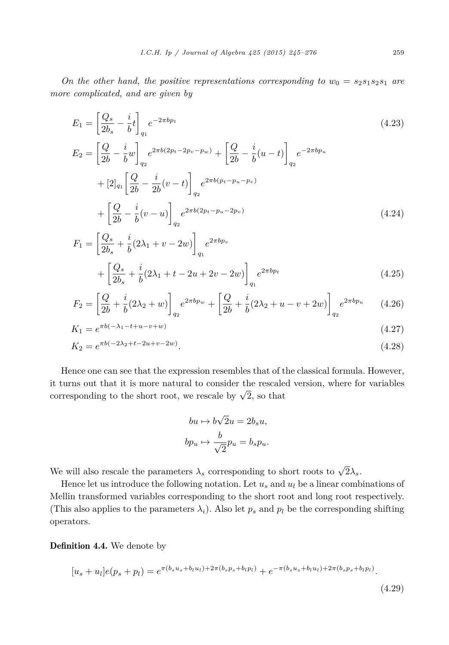<span id="page-14-0"></span>*On* the *other* hand, the positive representations corresponding to  $w_0 = s_2 s_1 s_2 s_1$  are *more complicated, and are given by*

$$
E_1 = \left[\frac{Q_s}{2b_s} - \frac{i}{b}t\right]_{q_1} e^{-2\pi b p_t}
$$
\n
$$
E_2 = \left[\frac{Q}{2b} - \frac{i}{b}w\right]_{q_2} e^{2\pi b(2p_t - 2p_v - p_w)} + \left[\frac{Q}{2b} - \frac{i}{b}(u - t)\right]_{q_2} e^{-2\pi b p_u}
$$
\n
$$
+ [2]_{q_1} \left[\frac{Q}{2b} - \frac{i}{2b}(v - t)\right]_{q_2} e^{2\pi b(p_t - p_u - p_v)}
$$
\n
$$
+ \left[\frac{Q}{2b} - \frac{i}{b}(v - u)\right]_{q_2} e^{2\pi b(2p_t - p_u - 2p_v)}
$$
\n(4.24)

$$
F_1 = \left[\frac{Q_s}{2b_s} + \frac{i}{b}(2\lambda_1 + v - 2w)\right]_{q_1} e^{2\pi b p_v}
$$
  
+ 
$$
\left[\frac{Q_s}{2b_s} + \frac{i}{b}(2\lambda_1 + t - 2u + 2v - 2w)\right]_{q_1} e^{2\pi b p_t}
$$
(4.25)

$$
F_2 = \left[\frac{Q}{2b} + \frac{i}{b}(2\lambda_2 + w)\right]_{q_2} e^{2\pi b p_w} + \left[\frac{Q}{2b} + \frac{i}{b}(2\lambda_2 + u - v + 2w)\right]_{q_2} e^{2\pi b p_u} \tag{4.26}
$$

$$
K_1 = e^{\pi b(-\lambda_1 - t + u - v + w)}\tag{4.27}
$$

$$
K_2 = e^{\pi b(-2\lambda_2 + t - 2u + v - 2w)}.
$$
\n(4.28)

Hence one can see that the expression resembles that of the classical formula. However, it turns out that it is more natural to consider the rescaled version, where for variables corresponding to the short root, we rescale by  $\sqrt{2}$ , so that

$$
bu \mapsto b\sqrt{2}u = 2b_su,
$$
  

$$
bp_u \mapsto \frac{b}{\sqrt{2}}pu = b_sp_u.
$$

We will also rescale the parameters  $\lambda_s$  corresponding to short roots to  $\sqrt{2}\lambda_s$ .

Hence let us introduce the following notation. Let  $u_s$  and  $u_l$  be a linear combinations of Mellin transformed variables corresponding to the short root and long root respectively. (This also applies to the parameters  $\lambda_i$ ). Also let  $p_s$  and  $p_l$  be the corresponding shifting operators.

Definition 4.4. We denote by

$$
[u_s + u_l]e(p_s + p_l) = e^{\pi(b_s u_s + b_l u_l) + 2\pi(b_s p_s + b_l p_l)} + e^{-\pi(b_s u_s + b_l u_l) + 2\pi(b_s p_s + b_l p_l)}.
$$

(4.29)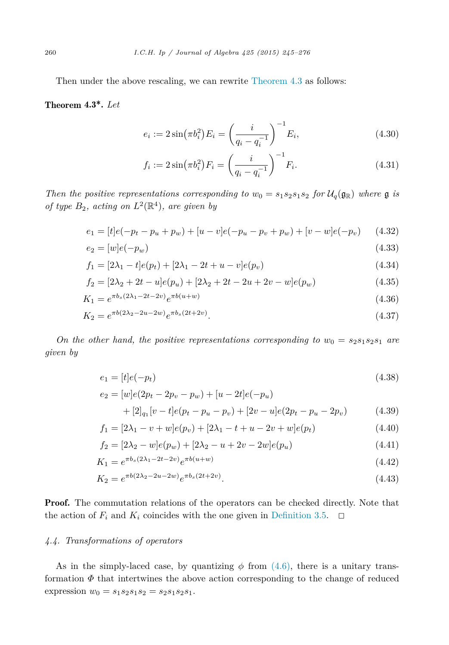<span id="page-15-0"></span>Then under the above rescaling, we can rewrite [Theorem 4.3](#page-13-0) as follows:

# Theorem 4.3\*. *Let*

$$
e_i := 2\sin(\pi b_i^2) E_i = \left(\frac{i}{q_i - q_i^{-1}}\right)^{-1} E_i,
$$
\n(4.30)

$$
f_i := 2\sin(\pi b_i^2) F_i = \left(\frac{i}{q_i - q_i^{-1}}\right)^{-1} F_i.
$$
 (4.31)

*Then the positive* representations corresponding to  $w_0 = s_1 s_2 s_1 s_2$  for  $\mathcal{U}_q(\mathfrak{g}_\mathbb{R})$  where  $\mathfrak{g}$  *is of type*  $B_2$ *, acting on*  $L^2(\mathbb{R}^4)$ *, are given by* 

$$
e_1 = [t]e(-p_t - p_u + p_w) + [u - v]e(-p_u - p_v + p_w) + [v - w]e(-p_v)
$$
 (4.32)

$$
e_2 = [w]e(-p_w) \tag{4.33}
$$

$$
f_1 = [2\lambda_1 - t]e(p_t) + [2\lambda_1 - 2t + u - v]e(p_v)
$$
\n(4.34)

$$
f_2 = [2\lambda_2 + 2t - u]e(p_u) + [2\lambda_2 + 2t - 2u + 2v - w]e(p_w)
$$
\n(4.35)

$$
K_1 = e^{\pi b_s (2\lambda_1 - 2t - 2v)} e^{\pi b(u+w)} \tag{4.36}
$$

$$
K_2 = e^{\pi b (2\lambda_2 - 2u - 2w)} e^{\pi b_s (2t + 2v)}.
$$
\n(4.37)

*On* the *other hand,* the *positive* representations corresponding to  $w_0 = s_2 s_1 s_2 s_1$  are *given by*

$$
e_1 = [t]e(-p_t) \tag{4.38}
$$

$$
e_2 = [w]e(2p_t - 2p_v - p_w) + [u - 2t]e(-p_u)
$$
  
+ [2]<sub>q<sub>1</sub></sub>[v - t]e(p\_t - p\_u - p\_v) + [2v - u]e(2p\_t - p\_u - 2p\_v) (4.39)

$$
f_1 = [2\lambda_1 - v + w]e(p_v) + [2\lambda_1 - t + u - 2v + w]e(p_t)
$$
\n(4.40)

$$
f_2 = [2\lambda_2 - w]e(p_w) + [2\lambda_2 - u + 2v - 2w]e(p_u)
$$
\n(4.41)

$$
K_1 = e^{\pi b_s (2\lambda_1 - 2t - 2v)} e^{\pi b(u+w)}
$$
\n(4.42)

$$
K_2 = e^{\pi b (2\lambda_2 - 2u - 2w)} e^{\pi b_s (2t + 2v)}.
$$
\n(4.43)

**Proof.** The commutation relations of the operators can be checked directly. Note that the action of  $F_i$  and  $K_i$  coincides with the one given in [Definition 3.5.](#page-10-0)  $\Box$ 

# *4.4. Transformations of operators*

As in the simply-laced case, by quantizing  $\phi$  from [\(4.6\),](#page-12-0) there is a unitary transformation  $\Phi$  that intertwines the above action corresponding to the change of reduced expression  $w_0 = s_1 s_2 s_1 s_2 = s_2 s_1 s_2 s_1$ .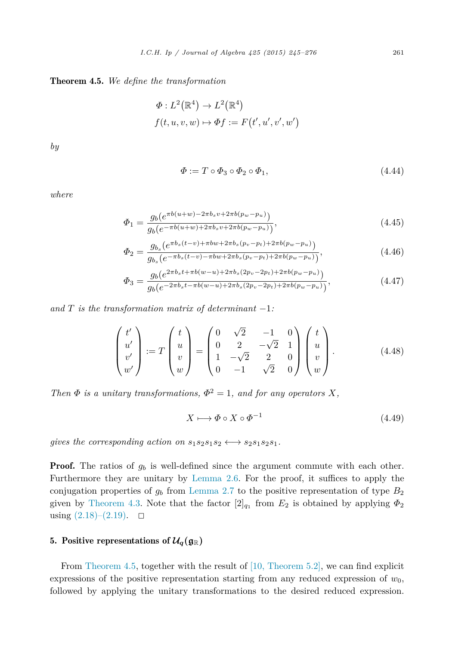#### <span id="page-16-0"></span>Theorem 4.5. *We define the transformation*

$$
\Phi: L^2(\mathbb{R}^4) \to L^2(\mathbb{R}^4)
$$
  

$$
f(t, u, v, w) \mapsto \Phi f := F(t', u', v', w')
$$

*by*

$$
\Phi := T \circ \Phi_3 \circ \Phi_2 \circ \Phi_1,\tag{4.44}
$$

*where*

$$
\Phi_1 = \frac{g_b(e^{\pi b(u+w) - 2\pi b_s v + 2\pi b(p_w - p_u)})}{g_b(e^{-\pi b(u+w) + 2\pi b_s v + 2\pi b(p_w - p_u)})},\tag{4.45}
$$

$$
\Phi_2 = \frac{g_{b_s}(e^{\pi b_s(t-v) + \pi bw + 2\pi b_s(p_v - p_t) + 2\pi b(p_w - p_u)})}{g_{b_s}(e^{-\pi b_s(t-v) - \pi bw + 2\pi b_s(p_v - p_t) + 2\pi b(p_w - p_u)})},\tag{4.46}
$$

$$
\Phi_3 = \frac{g_b(e^{2\pi b_s t + \pi b(w-u) + 2\pi b_s(2p_v - 2p_t) + 2\pi b(p_w - p_u)})}{g_b(e^{-2\pi b_s t - \pi b(w-u) + 2\pi b_s(2p_v - 2p_t) + 2\pi b(p_w - p_u)})},\tag{4.47}
$$

*and*  $T$  *is the transformation matrix of determinant*  $-1$ *:* 

$$
\begin{pmatrix} t' \\ u' \\ v' \\ w' \end{pmatrix} := T \begin{pmatrix} t \\ u \\ v \\ w \end{pmatrix} = \begin{pmatrix} 0 & \sqrt{2} & -1 & 0 \\ 0 & 2 & -\sqrt{2} & 1 \\ 1 & -\sqrt{2} & 2 & 0 \\ 0 & -1 & \sqrt{2} & 0 \end{pmatrix} \begin{pmatrix} t \\ u \\ v \\ w \end{pmatrix}.
$$
 (4.48)

*Then*  $\Phi$  *is a unitary transformations*,  $\Phi^2 = 1$ *, and for any operators X,* 

$$
X \longmapsto \Phi \circ X \circ \Phi^{-1} \tag{4.49}
$$

*gives the corresponding action on*  $s_1s_2s_1s_2 \leftrightarrow s_2s_1s_2s_1$ .

**Proof.** The ratios of  $g_b$  is well-defined since the argument commute with each other. Furthermore they are unitary by [Lemma 2.6.](#page-7-0) For the proof, it suffices to apply the conjugation properties of  $g_b$  from [Lemma 2.7](#page-7-0) to the positive representation of type  $B_2$ given by [Theorem 4.3.](#page-13-0) Note that the factor  $[2]_{q_1}$  from  $E_2$  is obtained by applying  $\Phi_2$ using  $(2.18)$ – $(2.19)$ . □

# 5. Positive representations of  $\mathcal{U}_q(\mathfrak{g}_{\mathbb{R}})$

From Theorem 4.5, together with the result of [10, [Theorem 5.2\],](#page-31-0) we can find explicit expressions of the positive representation starting from any reduced expression of *w*0, followed by applying the unitary transformations to the desired reduced expression.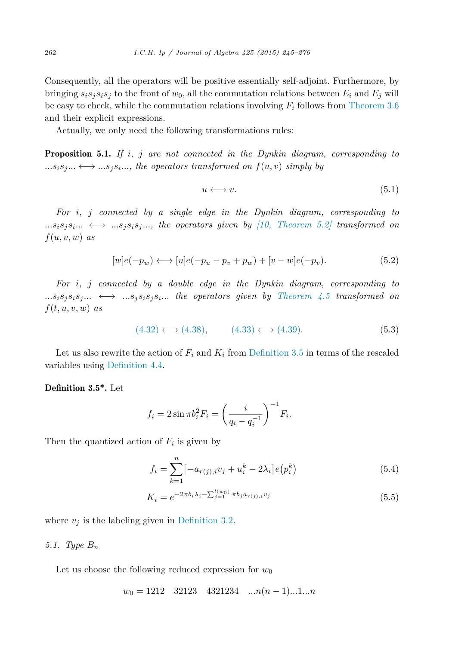<span id="page-17-0"></span>Consequently, all the operators will be positive essentially self-adjoint. Furthermore, by bringing  $s_i s_j s_i s_j$  to the front of  $w_0$ , all the commutation relations between  $E_i$  and  $E_j$  will be easy to check, while the commutation relations involving *F<sup>i</sup>* follows from [Theorem 3.6](#page-10-0) and their explicit expressions.

Actually, we only need the following transformations rules:

Proposition 5.1. *If i, j are not connected in the Dynkin diagram, corresponding to*  $...s_i s_j... \leftrightarrow ...s_j s_i...$ , the operators transformed on  $f(u, v)$  simply by

$$
u \longleftrightarrow v. \tag{5.1}
$$

*For i, j connected by a single edge in the Dynkin diagram, corresponding to*  $...s_i s_j s_i ... \leftrightarrow ... s_j s_i s_j ...$ , the operators given by (10, Theorem 5.2) transformed on  $f(u, v, w)$  *as* 

$$
[w]e(-p_w) \longleftrightarrow [u]e(-p_u - p_v + p_w) + [v - w]e(-p_v). \tag{5.2}
$$

*For i, j connected by a double edge in the Dynkin diagram, corresponding to*  $...s_i s_j s_i s_j ... \leftrightarrow ... s_j s_i s_j s_i ...$  the operators given by [Theorem 4.5](#page-16-0) transformed on  $f(t, u, v, w)$  *as* 

$$
(4.32) \longleftrightarrow (4.38), \qquad (4.33) \longleftrightarrow (4.39). \tag{5.3}
$$

Let us also rewrite the action of  $F_i$  and  $K_i$  from [Definition 3.5](#page-10-0) in terms of the rescaled variables using [Definition 4.4.](#page-14-0)

#### Definition 3.5\*. Let

$$
f_i = 2\sin \pi b_i^2 F_i = \left(\frac{i}{q_i - q_i^{-1}}\right)^{-1} F_i.
$$

Then the quantized action of  $F_i$  is given by

$$
f_i = \sum_{k=1}^{n} \left[ -a_{r(j),i} v_j + u_i^k - 2\lambda_i \right] e(p_i^k)
$$
\n(5.4)

$$
K_i = e^{-2\pi b_i \lambda_i - \sum_{j=1}^{l(w_0)} \pi b_j a_{r(j),i} v_j}
$$
\n(5.5)

where  $v_j$  is the labeling given in [Definition 3.2.](#page-9-0)

#### *5.1. Type B<sup>n</sup>*

Let us choose the following reduced expression for  $w_0$ 

$$
w_0 = 1212 \quad 32123 \quad 4321234 \quad \dots n(n-1)\dots 1\dots n
$$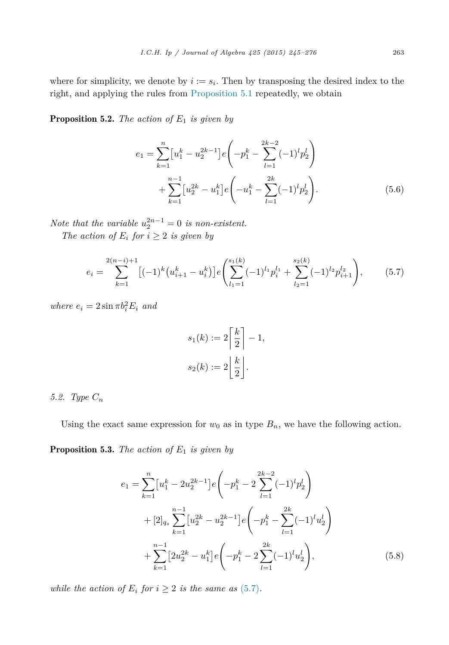<span id="page-18-0"></span>where for simplicity, we denote by  $i := s_i$ . Then by transposing the desired index to the right, and applying the rules from [Proposition 5.1](#page-17-0) repeatedly, we obtain

**Proposition 5.2.** *The action of*  $E_1$  *is given by* 

$$
e_1 = \sum_{k=1}^{n} \left[ u_1^k - u_2^{2k-1} \right] e \left( -p_1^k - \sum_{l=1}^{2k-2} (-1)^l p_2^l \right) + \sum_{k=1}^{n-1} \left[ u_2^{2k} - u_1^k \right] e \left( -u_1^k - \sum_{l=1}^{2k} (-1)^l p_2^l \right).
$$
 (5.6)

*Note that the variable*  $u_2^{2n-1} = 0$  *is non-existent.* 

*The action of*  $E_i$  *for*  $i \geq 2$  *is given by* 

$$
e_i = \sum_{k=1}^{2(n-i)+1} \left[ (-1)^k \left( u_{i+1}^k - u_i^k \right) \right] e \left( \sum_{l_1=1}^{s_1(k)} (-1)^{l_1} p_i^{l_1} + \sum_{l_2=1}^{s_2(k)} (-1)^{l_2} p_{i+1}^{l_2} \right), \tag{5.7}
$$

*where*  $e_i = 2 \sin \pi b_i^2 E_i$  *and* 

$$
s_1(k) := 2\left\lceil \frac{k}{2} \right\rceil - 1,
$$
  

$$
s_2(k) := 2\left\lfloor \frac{k}{2} \right\rfloor.
$$

# *5.2. Type C<sup>n</sup>*

Using the exact same expression for  $w_0$  as in type  $B_n$ , we have the following action.

**Proposition 5.3.** *The action of*  $E_1$  *is given by* 

$$
e_{1} = \sum_{k=1}^{n} \left[ u_{1}^{k} - 2u_{2}^{2k-1} \right] e\left( -p_{1}^{k} - 2 \sum_{l=1}^{2k-2} (-1)^{l} p_{2}^{l} \right)
$$
  
+ 
$$
\left[ 2 \right]_{q_{s}} \sum_{k=1}^{n-1} \left[ u_{2}^{2k} - u_{2}^{2k-1} \right] e\left( -p_{1}^{k} - \sum_{l=1}^{2k} (-1)^{l} u_{2}^{l} \right)
$$
  
+ 
$$
\sum_{k=1}^{n-1} \left[ 2u_{2}^{2k} - u_{1}^{k} \right] e\left( -p_{1}^{k} - 2 \sum_{l=1}^{2k} (-1)^{l} u_{2}^{l} \right), \tag{5.8}
$$

*while the action of*  $E_i$  *for*  $i \geq 2$  *is the same as* (5.7)*.*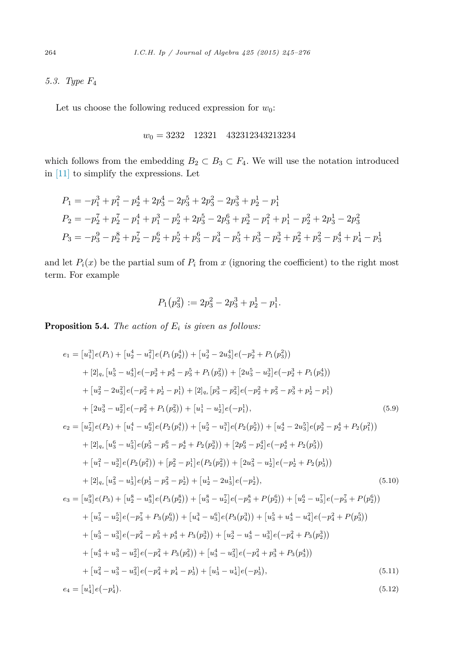*5.3. Type F*<sup>4</sup>

Let us choose the following reduced expression for  $w_0$ :

$$
w_0 = 3232 \quad 12321 \quad 432312343213234
$$

which follows from the embedding  $B_2 \subset B_3 \subset F_4$ . We will use the notation introduced in [\[11\]](#page-31-0) to simplify the expressions. Let

$$
P_1 = -p_1^3 + p_1^2 - p_2^4 + 2p_3^4 - 2p_3^5 + 2p_3^2 - 2p_3^3 + p_2^1 - p_1^1
$$
  
\n
$$
P_2 = -p_2^7 + p_2^7 - p_1^4 + p_1^3 - p_2^5 + 2p_3^5 - 2p_3^6 + p_2^3 - p_1^2 + p_1^1 - p_2^2 + 2p_3^1 - 2p_3^2
$$
  
\n
$$
P_3 = -p_3^9 - p_2^8 + p_2^7 - p_2^6 + p_2^5 + p_3^6 - p_4^3 - p_3^5 + p_3^3 - p_2^3 + p_2^2 + p_3^2 - p_3^4 + p_4^1 - p_3^1
$$

and let  $P_i(x)$  be the partial sum of  $P_i$  from  $x$  (ignoring the coefficient) to the right most term. For example

$$
P_1(p_3^2) := 2p_3^2 - 2p_3^3 + p_2^1 - p_1^1.
$$

Proposition 5.4. *The action of E<sup>i</sup> is given as follows:*

$$
e_{1} = [u_{1}^{3}]e(P_{1}) + [u_{2}^{4} - u_{1}^{2}]e(P_{1}(p_{2}^{4})) + [u_{2}^{3} - 2u_{3}^{4}]e(-p_{2}^{3} + P_{1}(p_{3}^{2}))
$$
  
\n
$$
+ [2]_{q_{s}}[u_{3}^{5} - u_{3}^{4}]e(-p_{2}^{3} + p_{3}^{4} - p_{3}^{5} + P_{1}(p_{3}^{2})) + [2u_{3}^{5} - u_{2}^{3}]e(-p_{2}^{3} + P_{1}(p_{3}^{4}))
$$
  
\n
$$
+ [u_{2}^{2} - 2u_{3}^{2}]e(-p_{2}^{2} + p_{2}^{1} - p_{1}^{1}) + [2]_{q_{s}}[p_{3}^{3} - p_{3}^{2}]e(-p_{2}^{2} + p_{3}^{2} - p_{3}^{3} + p_{2}^{1} - p_{1}^{1})
$$
  
\n
$$
+ [2u_{3}^{3} - u_{2}^{2}]e(-p_{2}^{2} + P_{1}(p_{3}^{2})) + [u_{1}^{1} - u_{2}^{1}]e(-p_{1}^{1}), \qquad (5.9)
$$
  
\n
$$
e_{2} = [u_{2}^{7}]e(P_{2}) + [u_{1}^{4} - u_{2}^{6}]e(P_{2}(p_{1}^{4})) + [u_{2}^{5} - u_{1}^{3}]e(P_{2}(p_{2}^{5})) + [u_{2}^{4} - 2u_{3}^{5}]e(p_{2}^{3} - p_{2}^{4} + P_{2}(p_{1}^{2}))
$$
  
\n
$$
+ [2]_{q_{s}}[u_{3}^{6} - u_{3}^{5}]e(p_{3}^{5} - p_{3}^{6} - p_{2}^{4} + P_{2}(p_{2}^{3})) + [2p_{3}^{6} - p_{2}^{4}]e(-p_{2}^{4} + P_{2}(p_{3}^{5}))
$$
  
\n
$$
+ [u_{1}^{7} - u_{2}^{3}]e(P_{2}(p_{1}^{2})) + [p_{2}^{2} - p_{1}^{1}]e(P_{2}(p_{2}^{2})) + [2u_{3}^{2} - u_{2}^{1}]e(-p_{2}^{1} + P_{2}(p_{3}
$$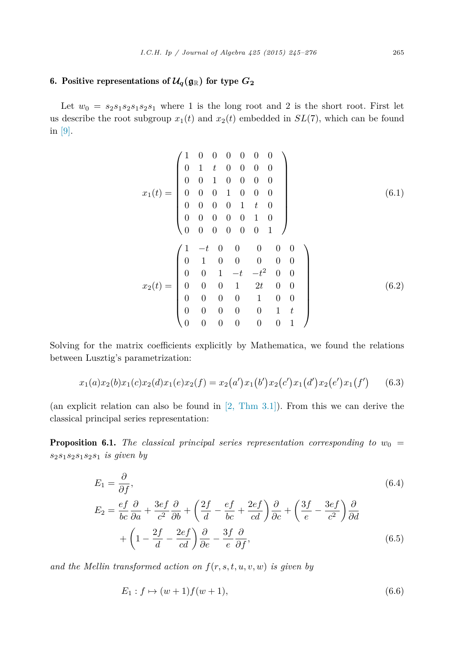# <span id="page-20-0"></span>6. Positive representations of  $\mathcal{U}_q(\mathfrak{g}_{\mathbb{R}})$  for type  $G_2$

Let  $w_0 = s_2s_1s_2s_1s_2s_1$  where 1 is the long root and 2 is the short root. First let us describe the root subgroup  $x_1(t)$  and  $x_2(t)$  embedded in  $SL(7)$ , which can be found in [\[9\].](#page-31-0)

$$
x_1(t) = \begin{pmatrix} 1 & 0 & 0 & 0 & 0 & 0 & 0 \\ 0 & 1 & t & 0 & 0 & 0 & 0 & 0 \\ 0 & 0 & 1 & 0 & 0 & 0 & 0 & 0 \\ 0 & 0 & 0 & 1 & 0 & 0 & 0 & 0 \\ 0 & 0 & 0 & 0 & 1 & t & 0 & 0 \\ 0 & 0 & 0 & 0 & 0 & 1 & 0 & 0 \\ 0 & 0 & 0 & 0 & 0 & 0 & 1 & 0 \end{pmatrix}
$$
(6.1)  

$$
x_2(t) = \begin{pmatrix} 1 & -t & 0 & 0 & 0 & 0 & 0 \\ 0 & 1 & 0 & 0 & 0 & 0 & 0 \\ 0 & 0 & 1 & -t & -t^2 & 0 & 0 \\ 0 & 0 & 0 & 1 & 2t & 0 & 0 \\ 0 & 0 & 0 & 0 & 1 & t & 0 \\ 0 & 0 & 0 & 0 & 0 & 0 & 1 \end{pmatrix}
$$
(6.2)

Solving for the matrix coefficients explicitly by Mathematica, we found the relations between Lusztig's parametrization:

$$
x_1(a)x_2(b)x_1(c)x_2(d)x_1(e)x_2(f) = x_2(a')x_1(b')x_2(c')x_1(d')x_2(e')x_1(f') \qquad (6.3)
$$

(an explicit relation can also be found in [2, [Thm](#page-31-0) 3.1]). From this we can derive the classical principal series representation:

**Proposition 6.1.** *The classical principal series representation corresponding to*  $w_0 =$ *s*2*s*1*s*2*s*1*s*2*s*<sup>1</sup> *is given by*

$$
E_1 = \frac{\partial}{\partial f},
$$
\n
$$
E_2 = \frac{ef}{bc} \frac{\partial}{\partial a} + \frac{3ef}{c^2} \frac{\partial}{\partial b} + \left(\frac{2f}{d} - \frac{ef}{bc} + \frac{2ef}{cd}\right) \frac{\partial}{\partial c} + \left(\frac{3f}{e} - \frac{3ef}{c^2}\right) \frac{\partial}{\partial d}
$$
\n
$$
+ \left(1 - \frac{2f}{d} - \frac{2ef}{cd}\right) \frac{\partial}{\partial e} - \frac{3f}{e} \frac{\partial}{\partial f},
$$
\n(6.5)

and the Mellin transformed action on  $f(r, s, t, u, v, w)$  is given by

$$
E_1: f \mapsto (w+1)f(w+1), \tag{6.6}
$$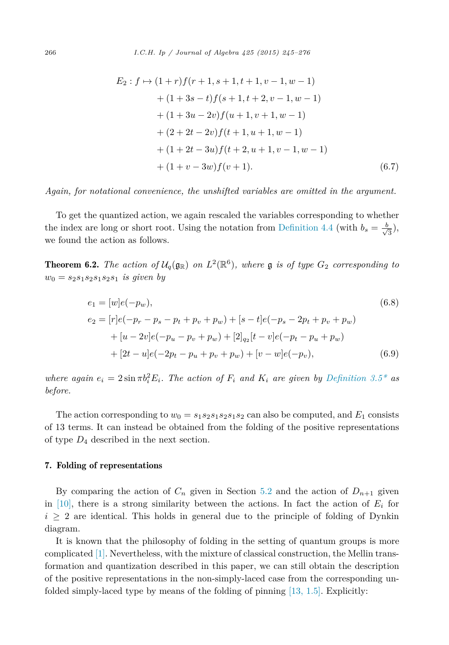<span id="page-21-0"></span>
$$
E_2: f \mapsto (1+r)f(r+1, s+1, t+1, v-1, w-1)
$$
  
+ 
$$
(1+3s-t)f(s+1, t+2, v-1, w-1)
$$
  
+ 
$$
(1+3u-2v)f(u+1, v+1, w-1)
$$
  
+ 
$$
(2+2t-2v)f(t+1, u+1, w-1)
$$
  
+ 
$$
(1+2t-3u)f(t+2, u+1, v-1, w-1)
$$
  
+ 
$$
(1+v-3w)f(v+1).
$$
 (6.7)

*Again, for notational convenience, the unshifted variables are omitted in the argument.*

To get the quantized action, we again rescaled the variables corresponding to whether the index are long or short root. Using the notation from [Definition 4.4](#page-14-0) (with  $b_s = \frac{b}{\sqrt{3}}$ ), we found the action as follows.

**Theorem 6.2.** The action of  $\mathcal{U}_q(\mathfrak{g}_{\mathbb{R}})$  on  $L^2(\mathbb{R}^6)$ , where  $\mathfrak{g}$  is of type  $G_2$  corresponding to  $w_0 = s_2 s_1 s_2 s_1 s_2 s_1$  *is given by* 

$$
e_1 = [w]e(-p_w),
$$
\n
$$
e_2 = [r]e(-p_r - p_s - p_t + p_v + p_w) + [s - t]e(-p_s - 2p_t + p_v + p_w)
$$
\n
$$
+ [u - 2v]e(-p_u - p_v + p_w) + [2]_{q_2}[t - v]e(-p_t - p_u + p_w)
$$
\n
$$
+ [2t - u]e(-2p_t - p_u + p_v + p_w) + [v - w]e(-p_v),
$$
\n(6.9)

where again  $e_i = 2 \sin \pi b_i^2 E_i$ . The action of  $F_i$  and  $K_i$  are given by [Definition 3.5\\*](#page-17-0) as *before.*

The action corresponding to  $w_0 = s_1 s_2 s_1 s_2 s_1 s_2$  can also be computed, and  $E_1$  consists of 13 terms. It can instead be obtained from the folding of the positive representations of type *D*<sup>4</sup> described in the next section.

#### 7. Folding of representations

By comparing the action of  $C_n$  given in Section [5.2](#page-18-0) and the action of  $D_{n+1}$  given in [\[10\],](#page-31-0) there is a strong similarity between the actions. In fact the action of  $E_i$  for  $i \geq 2$  are identical. This holds in general due to the principle of folding of Dynkin diagram.

It is known that the philosophy of folding in the setting of quantum groups is more complicated [\[1\].](#page-31-0) Nevertheless, with the mixture of classical construction, the Mellin transformation and quantization described in this paper, we can still obtain the description of the positive representations in the non-simply-laced case from the corresponding unfolded simply-laced type by means of the folding of pinning [13, [1.5\].](#page-31-0) Explicitly: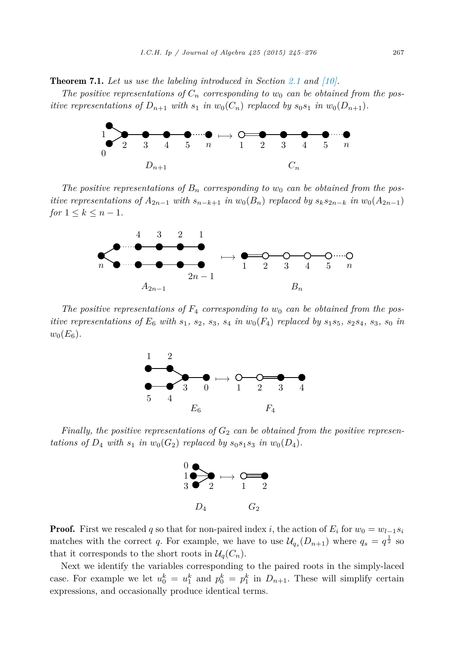Theorem 7.1. *Let us use the labeling introduced in Section [2.1](#page-4-0) and [\[10\].](#page-31-0)*

*The* positive representations of  $C_n$  corresponding to  $w_0$  can be obtained from the pos*itive* representations of  $D_{n+1}$  with  $s_1$  *in*  $w_0(C_n)$  replaced by  $s_0s_1$  *in*  $w_0(D_{n+1})$ *.* 



*The* positive representations of  $B_n$  corresponding to  $w_0$  can be obtained from the positive representations of  $A_{2n-1}$  with  $s_{n-k+1}$  in  $w_0(B_n)$  replaced by  $s_k s_{2n-k}$  in  $w_0(A_{2n-1})$ *for*  $1 \leq k \leq n-1$ *.* 



*The* positive representations of  $F_4$  corresponding to  $w_0$  can be obtained from the positive representations of  $E_6$  with  $s_1$ ,  $s_2$ ,  $s_3$ ,  $s_4$  in  $w_0(F_4)$  replaced by  $s_1s_5$ ,  $s_2s_4$ ,  $s_3$ ,  $s_0$  in  $w_0(E_6)$ .



*Finally, the positive representations of G*<sup>2</sup> *can be obtained from the positive representations of*  $D_4$  *with*  $s_1$  *in*  $w_0(G_2)$  *replaced by*  $s_0s_1s_3$  *in*  $w_0(D_4)$ *.* 



**Proof.** First we rescaled q so that for non-paired index *i*, the action of  $E_i$  for  $w_0 = w_{l-1} s_i$ matches with the correct *q*. For example, we have to use  $\mathcal{U}_{q_s}(D_{n+1})$  where  $q_s = q^{\frac{1}{2}}$  so that it corresponds to the short roots in  $\mathcal{U}_q(C_n)$ .

Next we identify the variables corresponding to the paired roots in the simply-laced case. For example we let  $u_0^k = u_1^k$  and  $p_0^k = p_1^k$  in  $D_{n+1}$ . These will simplify certain expressions, and occasionally produce identical terms.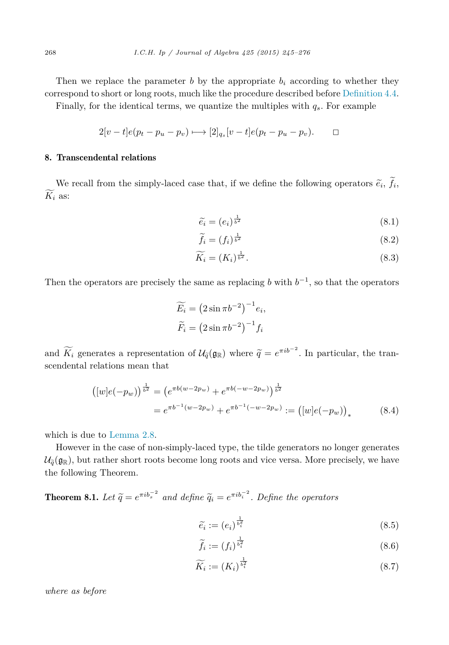<span id="page-23-0"></span>Then we replace the parameter  $b$  by the appropriate  $b_i$  according to whether they correspond to short or long roots, much like the procedure described before [Definition 4.4.](#page-14-0)

Finally, for the identical terms, we quantize the multiples with  $q_s$ . For example

$$
2[v-t]e(p_t - p_u - p_v) \longmapsto [2]_{q_s}[v-t]e(p_t - p_u - p_v). \square
$$

### 8. Transcendental relations

We recall from the simply-laced case that, if we define the following operators  $\tilde{e}_i$ ,  $f_i$ ,  $K_i$  as:

$$
\widetilde{e_i} = (e_i)^{\frac{1}{b^2}} \tag{8.1}
$$

$$
\widetilde{f}_i = (f_i)^{\frac{1}{b^2}} \tag{8.2}
$$

$$
\widetilde{K_i} = (K_i)^{\frac{1}{b^2}}.
$$
\n(8.3)

Then the operators are precisely the same as replacing *b* with  $b^{-1}$ , so that the operators

$$
\widetilde{E_i} = \left(2\sin\pi b^{-2}\right)^{-1} e_i,
$$
  

$$
\widetilde{F_i} = \left(2\sin\pi b^{-2}\right)^{-1} f_i
$$

and  $\widetilde{K}_i$  generates a representation of  $\mathcal{U}_{\tilde{q}}(\mathfrak{g}_{\mathbb{R}})$  where  $\tilde{q} = e^{\pi i b^{-2}}$ . In particular, the transcendental relations mean that

$$
([w]e(-p_w))^{\frac{1}{b^2}} = (e^{\pi b(w-2p_w)} + e^{\pi b(-w-2p_w)})^{\frac{1}{b^2}}
$$
  
=  $e^{\pi b^{-1}(w-2p_w)} + e^{\pi b^{-1}(-w-2p_w)} := ([w]e(-p_w))_*$  (8.4)

which is due to [Lemma 2.8.](#page-7-0)

However in the case of non-simply-laced type, the tilde generators no longer generates  $\mathcal{U}_{\tilde{q}}(\mathfrak{g}_{\mathbb{R}})$ , but rather short roots become long roots and vice versa. More precisely, we have the following Theorem.

**Theorem 8.1.** *Let*  $\tilde{q} = e^{\pi i b_s^{-2}}$  *and define*  $\tilde{q}_i = e^{\pi i b_i^{-2}}$ *. Define the operators* 

$$
\widetilde{e_i} := (e_i)^{\frac{1}{b_i^2}} \tag{8.5}
$$

$$
\widetilde{f}_i := (f_i)^{\frac{1}{b_i^2}} \tag{8.6}
$$

$$
\widetilde{K_i} := (K_i)^{\frac{1}{b_i^2}} \tag{8.7}
$$

*where as before*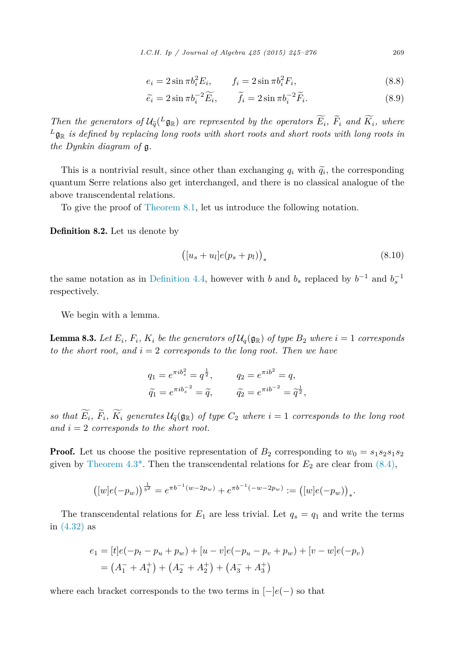$$
e_i = 2\sin \pi b_i^2 E_i, \qquad f_i = 2\sin \pi b_i^2 F_i,
$$
\n(8.8)

$$
\widetilde{e_i} = 2\sin\pi b_i^{-2}\widetilde{E_i}, \qquad \widetilde{f_i} = 2\sin\pi b_i^{-2}\widetilde{F_i}.
$$
\n(8.9)

<span id="page-24-0"></span>Then the generators of  $\mathcal{U}_{\tilde{q}}(^L\mathfrak{g}_{\mathbb{R}})$  are represented by the operators  $E_i$ ,  $F_i$  and  $K_i$ , where  $L_{\mathbf{g}_{\mathbb{R}}}$  *is defined by replacing long roots with short roots* and *short roots* with *long roots in the Dynkin diagram of* g*.*

This is a nontrivial result, since other than exchanging  $q_i$  with  $\tilde{q}_i$ , the corresponding  $\tilde{q}_i$  and  $\tilde{q}_i$  is no algorithm contention of the corresponding quantum Serre relations also get interchanged, and there is no classical analogue of the above transcendental relations.

To give the proof of [Theorem 8.1,](#page-23-0) let us introduce the following notation.

Definition 8.2. Let us denote by

$$
([u_s + u_l]e(p_s + p_l))_* \t\t(8.10)
$$

the same notation as in [Definition 4.4,](#page-14-0) however with *b* and  $b_s$  replaced by  $b^{-1}$  and  $b_s^{-1}$ respectively.

We begin with a lemma.

**Lemma 8.3.** Let  $E_i$ ,  $F_i$ ,  $K_i$  be the generators of  $\mathcal{U}_q(\mathfrak{g}_{\mathbb{R}})$  of type  $B_2$  where  $i = 1$  corresponds *to the short root,* and  $i = 2$  *corresponds to the long root. Then we have* 

$$
q_1 = e^{\pi i b_s^2} = q^{\frac{1}{2}},
$$
  $q_2 = e^{\pi i b^2} = q,$   
\n $\tilde{q}_1 = e^{\pi i b_s^{-2}} = \tilde{q},$   $\tilde{q}_2 = e^{\pi i b^{-2}} = \tilde{q}^{\frac{1}{2}},$ 

so that  $E_i$ ,  $F_i$ ,  $K_i$  generates  $\mathcal{U}_{\tilde{q}}(\mathfrak{g}_{\mathbb{R}})$  of type  $C_2$  where  $i = 1$  corresponds to the long root  $and i = 2$  *corresponds to the short root.* 

**Proof.** Let us choose the positive representation of  $B_2$  corresponding to  $w_0 = s_1 s_2 s_1 s_2$ given by Theorem  $4.3^*$ . Then the transcendental relations for  $E_2$  are clear from  $(8.4)$ ,

$$
([w]e(-p_w))^{\frac{1}{b^2}} = e^{\pi b^{-1}(w-2p_w)} + e^{\pi b^{-1}(-w-2p_w)} := ([w]e(-p_w))_*.
$$

The transcendental relations for  $E_1$  are less trivial. Let  $q_s = q_1$  and write the terms in [\(4.32\)](#page-15-0) as

$$
e_1 = [t]e(-p_t - p_u + p_w) + [u - v]e(-p_u - p_v + p_w) + [v - w]e(-p_v)
$$
  
=  $(A_1^- + A_1^+) + (A_2^- + A_2^+) + (A_3^- + A_3^+)$ 

where each bracket corresponds to the two terms in [−]*e*(−) so that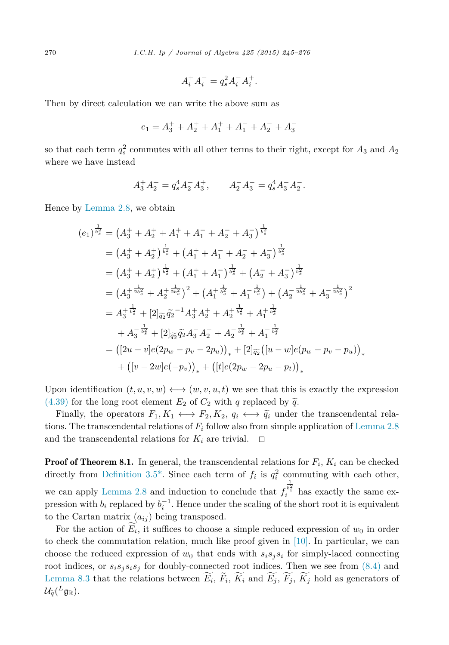$$
A_i^+ A_i^- = q_s^2 A_i^- A_i^+.
$$

Then by direct calculation we can write the above sum as

$$
e_1 = A_3^+ + A_2^+ + A_1^+ + A_1^- + A_2^- + A_3^-
$$

so that each term  $q_s^2$  commutes with all other terms to their right, except for  $A_3$  and  $A_2$ where we have instead

$$
A_3^+ A_2^+ = q_s^4 A_2^+ A_3^+, \qquad A_2^- A_3^- = q_s^4 A_3^- A_2^-.
$$

Hence by [Lemma 2.8,](#page-7-0) we obtain

$$
(e_1)^{\frac{1}{b_s^2}} = (A_3^+ + A_2^+ + A_1^+ + A_1^- + A_2^- + A_3^-)^{\frac{1}{b_s^2}}
$$
  
\n
$$
= (A_3^+ + A_2^+)^{\frac{1}{b_s^2}} + (A_1^+ + A_1^- + A_2^- + A_3^-)^{\frac{1}{b_s^2}}
$$
  
\n
$$
= (A_3^+ + A_2^+)^{\frac{1}{b_s^2}} + (A_1^+ + A_1^-)^{\frac{1}{b_s^2}} + (A_2^- + A_3^-)^{\frac{1}{b_s^2}}
$$
  
\n
$$
= (A_3^+ {\frac{1}{2b_s^2}} + A_2^+ {\frac{1}{2b_s^2}})^2 + (A_1^+ {\frac{1}{b_s^2}} + A_1^- {\frac{1}{b_s^2}}) + (A_2^- {\frac{1}{2b_s^2}} + A_3^- {\frac{1}{2b_s^2}})^2
$$
  
\n
$$
= A_3^+ {\frac{1}{b_s^2}} + [2]_{\widetilde{q_2}} \widetilde{q_2}^{-1} A_3^+ A_2^+ + A_2^+ {\frac{1}{b_s^2}} + A_1^+ {\frac{1}{b_s^2}}
$$
  
\n
$$
+ A_3^- {\frac{1}{b_s^2}} + [2]_{\widetilde{q_2}} \widetilde{q_2} A_3^- A_2^- + A_2^- {\frac{1}{b_s^2}} + A_1^- {\frac{1}{b_s^2}}
$$
  
\n
$$
= ([2u - v]e(2p_w - p_v - 2p_u))_+ + [2]_{\widetilde{q_2}} ([u - w]e(p_w - p_v - p_u))_+
$$
  
\n
$$
+ ([v - 2w]e(-p_v))_+ + ([t]e(2p_w - 2p_u - p_t))_*
$$

Upon identification  $(t, u, v, w) \longleftrightarrow (w, v, u, t)$  we see that this is exactly the expression [\(4.39\)](#page-15-0) for the long root element  $E_2$  of  $C_2$  with *q* replaced by  $\tilde{q}$ .<br>Einelly the energies  $F_{\perp K}$  (e)  $F_{\perp K}$   $g_{\perp}$  (e)  $\tilde{g}$  under

Finally, the operators  $F_1, K_1 \leftrightarrow F_2, K_2, q_i \leftrightarrow \tilde{q}_i$  under the transcendental rela-<br>re-The transcendental relations of  $F$  follow also from simple application of Lamma 2.8 tions. The transcendental relations of  $F_i$  follow also from simple application of [Lemma 2.8](#page-7-0) and the transcendental relations for  $K_i$  are trivial.  $\Box$ 

**Proof of Theorem 8.1.** In general, the transcendental relations for  $F_i$ ,  $K_i$  can be checked directly from Definition 3.5<sup>\*</sup>. Since each term of  $f_i$  is  $q_i^2$  commuting with each other, we can apply [Lemma 2.8](#page-7-0) and induction to conclude that *f*  $\frac{1}{b_i^2}$  has exactly the same expression with  $b_i$  replaced by  $b_i^{-1}$ . Hence under the scaling of the short root it is equivalent to the Cartan matrix  $(a_{ij})$  being transposed.

For the action of  $E_i$ , it suffices to choose a simple reduced expression of  $w_0$  in order to check the commutation relation, much like proof given in  $[10]$ . In particular, we can choose the reduced expression of  $w_0$  that ends with  $s_i s_j s_i$  for simply-laced connecting root indices, or  $s_i s_j s_i s_j$  for doubly-connected root indices. Then we see from  $(8.4)$  and [Lemma 8.3](#page-24-0) that the relations between  $E_i$ ,  $F_i$ ,  $K_i$  and  $E_j$ ,  $F_j$ ,  $K_j$  hold as generators of  $\mathcal{U}_{\widetilde{q}}({}^L\mathfrak{g}_{\mathbb{R}}).$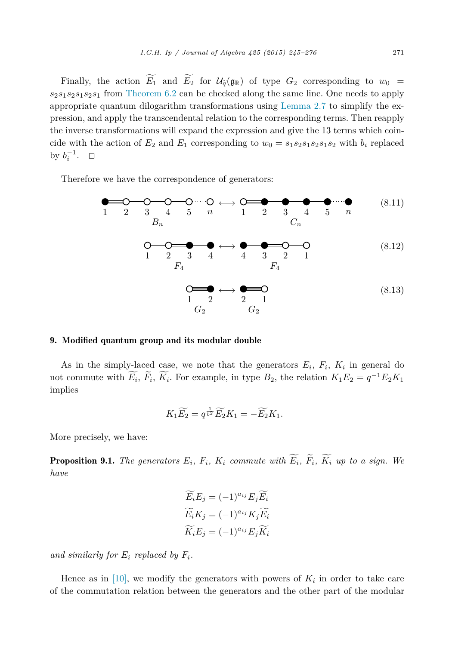<span id="page-26-0"></span>Finally, the action  $E_1$  and  $E_2$  for  $\mathcal{U}_{\tilde{q}}(\mathfrak{g}_{\mathbb{R}})$  of type  $G_2$  corresponding to  $w_0 =$ *s*2*s*1*s*2*s*1*s*2*s*<sup>1</sup> from [Theorem 6.2](#page-21-0) can be checked along the same line. One needs to apply appropriate quantum dilogarithm transformations using [Lemma 2.7](#page-7-0) to simplify the expression, and apply the transcendental relation to the corresponding terms. Then reapply the inverse transformations will expand the expression and give the 13 terms which coincide with the action of  $E_2$  and  $E_1$  corresponding to  $w_0 = s_1 s_2 s_1 s_2 s_1 s_2$  with  $b_i$  replaced by  $b_i^{-1}$ .  $\Box$ 

Therefore we have the correspondence of generators:

12345 *n B<sup>n</sup>* ←→ 12345 *n C<sup>n</sup>* (8.11) 1 2 3 4 *F*4 ←→ 4 3 2 1 *F*4 (8.12) 1 2 *G*<sup>2</sup> ←→ 2 1 *G*<sup>2</sup> (8.13)

## 9. Modified quantum group and its modular double

As in the simply-laced case, we note that the generators  $E_i$ ,  $F_i$ ,  $K_i$  in general do not commute with  $E_i$ ,  $\overline{F_i}$ ,  $\overline{K_i}$ . For example, in type  $B_2$ , the relation  $K_1E_2 = q^{-1}E_2K_1$ implies

$$
K_1 \widetilde{E_2} = q^{\frac{1}{b^2}} \widetilde{E_2} K_1 = -\widetilde{E_2} K_1.
$$

More precisely, we have:

**Proposition 9.1.** The generators  $E_i$ ,  $F_i$ ,  $K_i$  commute with  $E_i$ ,  $F_i$ ,  $K_i$  up to a sign. We *have*

$$
\widetilde{E_i}E_j = (-1)^{a_{ij}}E_j\widetilde{E_i}
$$

$$
\widetilde{E_i}K_j = (-1)^{a_{ij}}K_j\widetilde{E_i}
$$

$$
\widetilde{K_i}E_j = (-1)^{a_{ij}}E_j\widetilde{K_i}
$$

and similarly for  $E_i$  replaced by  $F_i$ .

Hence as in [\[10\],](#page-31-0) we modify the generators with powers of  $K_i$  in order to take care of the commutation relation between the generators and the other part of the modular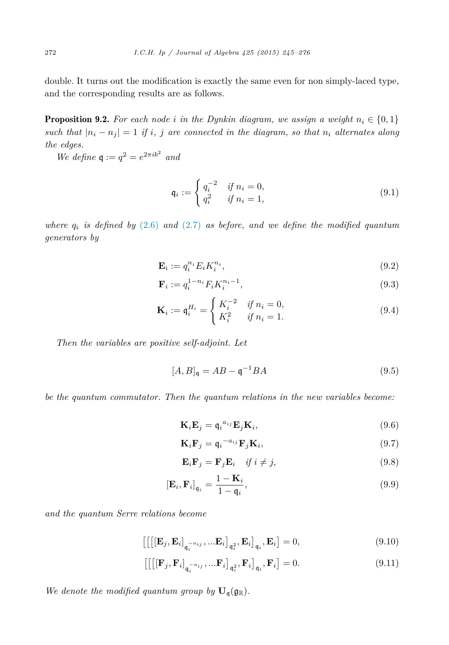<span id="page-27-0"></span>double. It turns out the modification is exactly the same even for non simply-laced type, and the corresponding results are as follows.

**Proposition 9.2.** For each node *i* in the Dynkin diagram, we assign a weight  $n_i \in \{0, 1\}$ such that  $|n_i - n_j| = 1$  if i, j are connected in the diagram, so that  $n_i$  alternates along *the edges.*

*We define*  $q := q^2 = e^{2\pi i b^2}$  *and* 

$$
\mathfrak{q}_i := \begin{cases} q_i^{-2} & \text{if } n_i = 0, \\ q_i^2 & \text{if } n_i = 1, \end{cases}
$$
 (9.1)

*where*  $q_i$  *is defined by* [\(2.6\)](#page-5-0) *and* [\(2.7\)](#page-6-0) *as before, and we define the modified quantum generators by*

$$
\mathbf{E}_i := q_i^{n_i} E_i K_i^{n_i},\tag{9.2}
$$

$$
\mathbf{F}_i := q_i^{1-n_i} F_i K_i^{n_i - 1},\tag{9.3}
$$

$$
\mathbf{K}_{i} := \mathbf{q}_{i}^{H_{i}} = \begin{cases} K_{i}^{-2} & \text{if } n_{i} = 0, \\ K_{i}^{2} & \text{if } n_{i} = 1. \end{cases}
$$
(9.4)

*Then the variables are positive self-adjoint. Let*

$$
[A,B]_{\mathfrak{q}} = AB - \mathfrak{q}^{-1}BA \tag{9.5}
$$

*be the quantum commutator. Then the quantum relations in the new variables become:*

$$
\mathbf{K}_i \mathbf{E}_j = \mathbf{q}_i^{a_{ij}} \mathbf{E}_j \mathbf{K}_i, \tag{(9.6)}
$$

$$
\mathbf{K}_i \mathbf{F}_j = \mathbf{q}_i^{-a_{ij}} \mathbf{F}_j \mathbf{K}_i, \tag{9.7}
$$

$$
\mathbf{E}_i \mathbf{F}_j = \mathbf{F}_j \mathbf{E}_i \quad \text{if } i \neq j,
$$
\n(9.8)

$$
\left[\mathbf{E}_{i}, \mathbf{F}_{i}\right]_{\mathbf{q}_{i}} = \frac{1 - \mathbf{K}_{i}}{1 - \mathbf{q}_{i}},\tag{9.9}
$$

*and the quantum Serre relations become*

$$
\left[\left[\left[\mathbf{E}_j, \mathbf{E}_i\right]_{\mathbf{q}_i^{-a_{ij}}}, \dots \mathbf{E}_i\right]_{\mathbf{q}_i^2}, \mathbf{E}_i\right]_{\mathbf{q}_i}, \mathbf{E}_i\right] = 0,\tag{9.10}
$$

$$
\left[\left[\left[\mathbf{F}_j, \mathbf{F}_i\right]_{\mathbf{q}_i^{-a_{ij}}}, \dots \mathbf{F}_i\right]_{\mathbf{q}_i^2}, \mathbf{F}_i\right]_{\mathbf{q}_i}, \mathbf{F}_i\right] = 0. \tag{9.11}
$$

We denote the modified quantum group by  $\mathbf{U}_q(\mathfrak{g}_\mathbb{R})$ .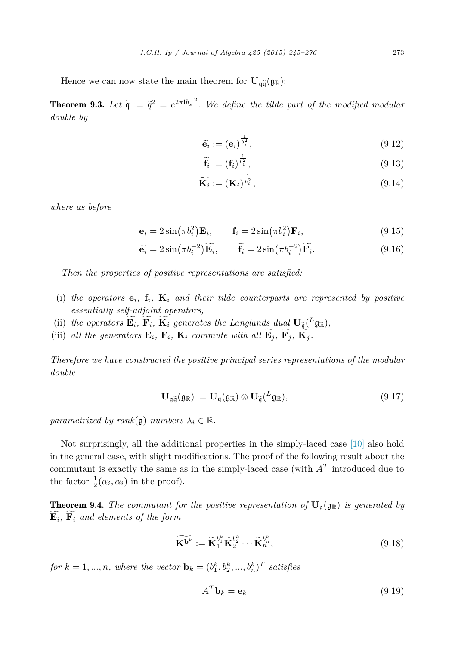Hence we can now state the main theorem for  $\mathbf{U}_{\mathfrak{q}\tilde{\mathfrak{q}}}(\mathfrak{g}_{\mathbb{R}})$ :

**Theorem 9.3.** Let  $\tilde{q} := \tilde{q}^2 = e^{2\pi i b_s^{-2}}$ . We define the tilde part of the modified modular deviate by *double by*

$$
\widetilde{\mathbf{e}_i} := (\mathbf{e}_i)^{\frac{1}{b_i^2}},\tag{9.12}
$$

$$
\widetilde{\mathbf{f}_i} := (\mathbf{f}_i)^{\frac{1}{b_i^2}},\tag{9.13}
$$

$$
\widetilde{\mathbf{K}_{i}} := (\mathbf{K}_{i})^{\frac{1}{b_{i}^{2}}},\tag{9.14}
$$

*where as before*

$$
\mathbf{e}_i = 2\sin(\pi b_i^2)\mathbf{E}_i, \qquad \mathbf{f}_i = 2\sin(\pi b_i^2)\mathbf{F}_i,
$$
\n(9.15)

$$
\widetilde{\mathbf{e}}_i = 2\sin(\pi b_i^{-2})\widetilde{\mathbf{E}_i}, \qquad \widetilde{\mathbf{f}}_i = 2\sin(\pi b_i^{-2})\widetilde{\mathbf{F}_i}.
$$
\n(9.16)

*Then the properties of positive representations are satisfied:*

- (i) the operators  $\mathbf{e}_i$ ,  $\mathbf{f}_i$ ,  $\mathbf{K}_i$  and their tilde counterparts are represented by positive *essentially self-adjoint operators,*
- (ii) the operators  $\mathbf{E}_i$ ,  $\mathbf{F}_i$ ,  $\mathbf{K}_i$  generates the Langlands dual  $\mathbf{U}_{\widetilde{\mathcal{A}}}^{\perp}(L_{\mathcal{G}\mathbb{R}})$ ,<br>(iii)  $\mathcal{U}(\mathcal{U}) = \mathcal{U}(\mathcal{U})$
- (iii) all the generators  $\mathbf{E}_i$ ,  $\mathbf{F}_i$ ,  $\mathbf{K}_i$  commute with all  $\mathbf{E}_j$ ,  $\mathbf{F}_j$ ,  $\mathbf{K}_j$ .

*Therefore we have constructed the positive principal series representations of the modular double*

$$
\mathbf{U}_{\mathfrak{q}\widetilde{\mathfrak{q}}}(\mathfrak{g}_{\mathbb{R}}) := \mathbf{U}_{\mathfrak{q}}(\mathfrak{g}_{\mathbb{R}}) \otimes \mathbf{U}_{\widetilde{\mathfrak{q}}}({}^{L}\mathfrak{g}_{\mathbb{R}}), \qquad (9.17)
$$

*parametrized by*  $rank(\mathfrak{g})$  *numbers*  $\lambda_i \in \mathbb{R}$ .

Not surprisingly, all the additional properties in the simply-laced case [\[10\]](#page-31-0) also hold in the general case, with slight modifications. The proof of the following result about the commutant is exactly the same as in the simply-laced case (with  $A<sup>T</sup>$  introduced due to the factor  $\frac{1}{2}(\alpha_i, \alpha_i)$  in the proof).

**Theorem 9.4.** The commutant for the positive representation of  $\mathbf{U}_q(\mathfrak{g}_\mathbb{R})$  is generated by **E** *<sup>i</sup>,* **<sup>F</sup>** *<sup>i</sup> and elements of the form*

$$
\widetilde{\mathbf{K}^{b^k}} := \widetilde{\mathbf{K}}_1^{b_1^k} \widetilde{\mathbf{K}}_2^{b_2^k} \cdots \widetilde{\mathbf{K}}_n^{b_n^k},\tag{9.18}
$$

for  $k = 1, ..., n$ , where the vector  $\mathbf{b}_k = (b_1^k, b_2^k, ..., b_n^k)^T$  satisfies

$$
A^T \mathbf{b}_k = \mathbf{e}_k \tag{9.19}
$$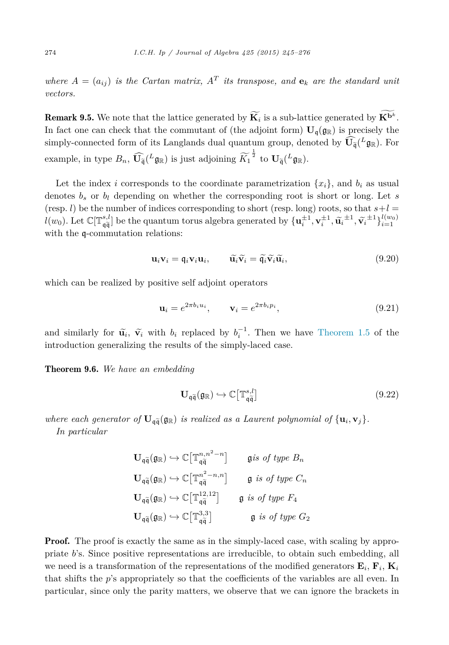*where*  $A = (a_{ij})$  *is the Cartan matrix,*  $A<sup>T</sup>$  *its transpose, and*  $e<sub>k</sub>$  *are the standard unit vectors.*

**Remark 9.5.** We note that the lattice generated by  $\mathbf{K}_i$  is a sub-lattice generated by  $\mathbf{K}^{b^k}$ . In fact one can check that the commutant of (the adjoint form)  $\mathbf{U}_{\mathfrak{g}}(\mathfrak{g}_{\mathbb{R}})$  is precisely the simply-connected form of its Langlands dual quantum group, denoted by  $\mathbf{U}_{\tilde{\mathfrak{q}}}(L_{\mathfrak{g}_{\mathbb{R}}})$ . For example, in type  $B_n$ ,  $\mathbf{U}_{\mathbf{\tilde{q}}}^{\sim}(L_{\mathbf{\tilde{g}}_{\mathbb{R}}})$  is just adjoining  $K_1$  $\frac{1}{2}$  to  $\mathbf{U}_{\widetilde{\mathfrak{q}}}(^L \mathfrak{g}_{\mathbb{R}}).$ 

Let the index *i* corresponds to the coordinate parametrization  $\{x_i\}$ , and  $b_i$  as usual denotes *b<sup>s</sup>* or *b<sup>l</sup>* depending on whether the corresponding root is short or long. Let *s* (resp. *l*) be the number of indices corresponding to short (resp. long) roots, so that  $s+l=$  $l(w_0)$ . Let  $\mathbb{C}[\mathbb{T}_{q=1}^{s,l}]$  be the quantum torus algebra generated by  $\{\mathbf{u}_i^{\pm 1}, \mathbf{v}_i^{\pm 1}, \widetilde{\mathbf{u}}_i^{\pm 1}, \widetilde{\mathbf{v}}_i^{\pm 1}\}_{i=1}^{l(w_0)}$ with the  $\mathfrak{q}$ -commutation relations:

$$
\mathbf{u}_i \mathbf{v}_i = \mathbf{\mathfrak{q}}_i \mathbf{v}_i \mathbf{u}_i, \qquad \widetilde{\mathbf{u}}_i \widetilde{\mathbf{v}}_i = \widetilde{\mathbf{\mathfrak{q}}}_i \widetilde{\mathbf{v}}_i \widetilde{\mathbf{u}}_i,\tag{9.20}
$$

which can be realized by positive self adjoint operators

$$
\mathbf{u}_i = e^{2\pi b_i u_i}, \qquad \mathbf{v}_i = e^{2\pi b_i p_i}, \tag{9.21}
$$

and similarly for  $\tilde{\mathbf{u}}_i$ ,  $\tilde{\mathbf{v}}_i$  with  $b_i$  replaced by  $b_i^{-1}$ . Then we have [Theorem 1.5](#page-3-0) of the introduction generalizing the results of the simply-laced case.

Theorem 9.6. *We have an embedding*

$$
\mathbf{U}_{\mathfrak{q}\tilde{\mathfrak{q}}}(\mathfrak{g}_{\mathbb{R}}) \hookrightarrow \mathbb{C}\big[\mathbb{T}_{\mathfrak{q}\tilde{\mathfrak{q}}}^{s,l}\big] \tag{9.22}
$$

*where each generator of*  $\mathbf{U}_{q\tilde{q}}(q_R)$  *is realized as a Laurent polynomial of*  $\{\mathbf{u}_i, \mathbf{v}_j\}$ *.* 

*In particular*

$$
\mathbf{U}_{\mathfrak{q}\widetilde{\mathfrak{q}}}(\mathfrak{g}_{\mathbb{R}}) \hookrightarrow \mathbb{C}\big[\mathbb{T}_{\mathfrak{q}\widetilde{\mathfrak{q}}}^{n,n^2-n}\big] \qquad \text{g is of type } B_n
$$
  

$$
\mathbf{U}_{\mathfrak{q}\widetilde{\mathfrak{q}}}(\mathfrak{g}_{\mathbb{R}}) \hookrightarrow \mathbb{C}\big[\mathbb{T}_{\mathfrak{q}\widetilde{\mathfrak{q}}}^{n^2-n,n}\big] \qquad \text{g is of type } C_n
$$
  

$$
\mathbf{U}_{\mathfrak{q}\widetilde{\mathfrak{q}}}(\mathfrak{g}_{\mathbb{R}}) \hookrightarrow \mathbb{C}\big[\mathbb{T}_{\mathfrak{q}\widetilde{\mathfrak{q}}}^{12,12}\big] \qquad \text{g is of type } F_4
$$
  

$$
\mathbf{U}_{\mathfrak{q}\widetilde{\mathfrak{q}}}(\mathfrak{g}_{\mathbb{R}}) \hookrightarrow \mathbb{C}\big[\mathbb{T}_{\mathfrak{q}\widetilde{\mathfrak{q}}}^{13,3}\big] \qquad \qquad \text{g is of type } G_2
$$

**Proof.** The proof is exactly the same as in the simply-laced case, with scaling by appropriate *b*'s. Since positive representations are irreducible, to obtain such embedding, all we need is a transformation of the representations of the modified generators  $\mathbf{E}_i$ ,  $\mathbf{F}_i$ ,  $\mathbf{K}_i$ that shifts the *p*'s appropriately so that the coefficients of the variables are all even. In particular, since only the parity matters, we observe that we can ignore the brackets in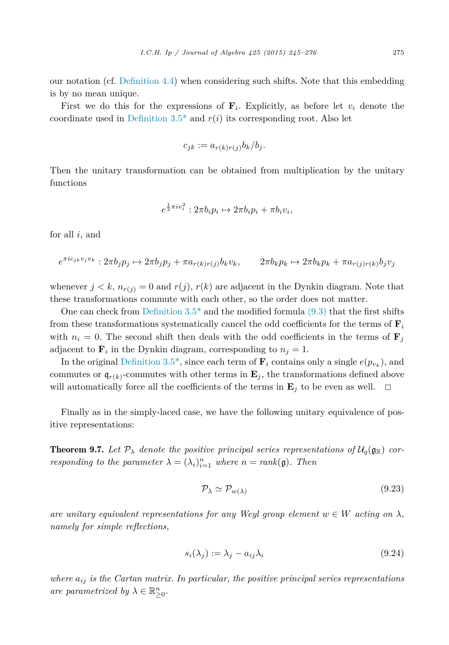our notation (cf. [Definition 4.4\)](#page-14-0) when considering such shifts. Note that this embedding is by no mean unique.

First we do this for the expressions of  $\mathbf{F}_i$ . Explicitly, as before let  $v_i$  denote the coordinate used in Definition 3.5<sup>\*</sup> and  $r(i)$  its corresponding root. Also let

$$
c_{jk} := a_{r(k)r(j)}b_k/b_j.
$$

Then the unitary transformation can be obtained from multiplication by the unitary functions

$$
e^{\frac{1}{2}\pi i v_i^2}: 2\pi b_i p_i \mapsto 2\pi b_i p_i + \pi b_i v_i,
$$

for all *i*, and

$$
e^{\pi i c_{jk}v_jv_k}: 2\pi b_jp_j \mapsto 2\pi b_jp_j + \pi a_{r(k)r(j)}b_kv_k, \qquad 2\pi b_kp_k \mapsto 2\pi b_kp_k + \pi a_{r(j)r(k)}b_jv_j
$$

whenever  $j < k$ ,  $n_{r(j)} = 0$  and  $r(j)$ ,  $r(k)$  are adjacent in the Dynkin diagram. Note that these transformations commute with each other, so the order does not matter.

One can check from Definition  $3.5^*$  and the modified formula  $(9.3)$  that the first shifts from these transformations systematically cancel the odd coefficients for the terms of **F***<sup>i</sup>* with  $n_i = 0$ . The second shift then deals with the odd coefficients in the terms of  $\mathbf{F}_i$ adjacent to  $\mathbf{F}_i$  in the Dynkin diagram, corresponding to  $n_j = 1$ .

In the original Definition 3.5<sup>\*</sup>, since each term of  $\mathbf{F}_i$  contains only a single  $e(p_{v_k})$ , and commutes or  $\mathfrak{q}_{r(k)}$ -commutes with other terms in  $\mathbf{E}_j$ , the transformations defined above will automatically force all the coefficients of the terms in  $\mathbf{E}_j$  to be even as well.  $\Box$ 

Finally as in the simply-laced case, we have the following unitary equivalence of positive representations:

**Theorem 9.7.** Let  $\mathcal{P}_{\lambda}$  denote the positive principal series representations of  $\mathcal{U}_q(\mathfrak{g}_\mathbb{R})$  cor*responding to the parameter*  $\lambda = (\lambda_i)_{i=1}^n$  *where*  $n = rank(\mathfrak{g})$ *. Then* 

$$
\mathcal{P}_{\lambda} \simeq \mathcal{P}_{w(\lambda)} \tag{9.23}
$$

*are unitary equivalent representations for any Weyl group element*  $w \in W$  *acting on*  $\lambda$ *, namely for simple reflections,*

$$
s_i(\lambda_j) := \lambda_j - a_{ij}\lambda_i \tag{9.24}
$$

*where aij is the Cartan matrix. In particular, the positive principal series representations are parametrized by*  $\lambda \in \mathbb{R}_{\geq 0}^n$ .